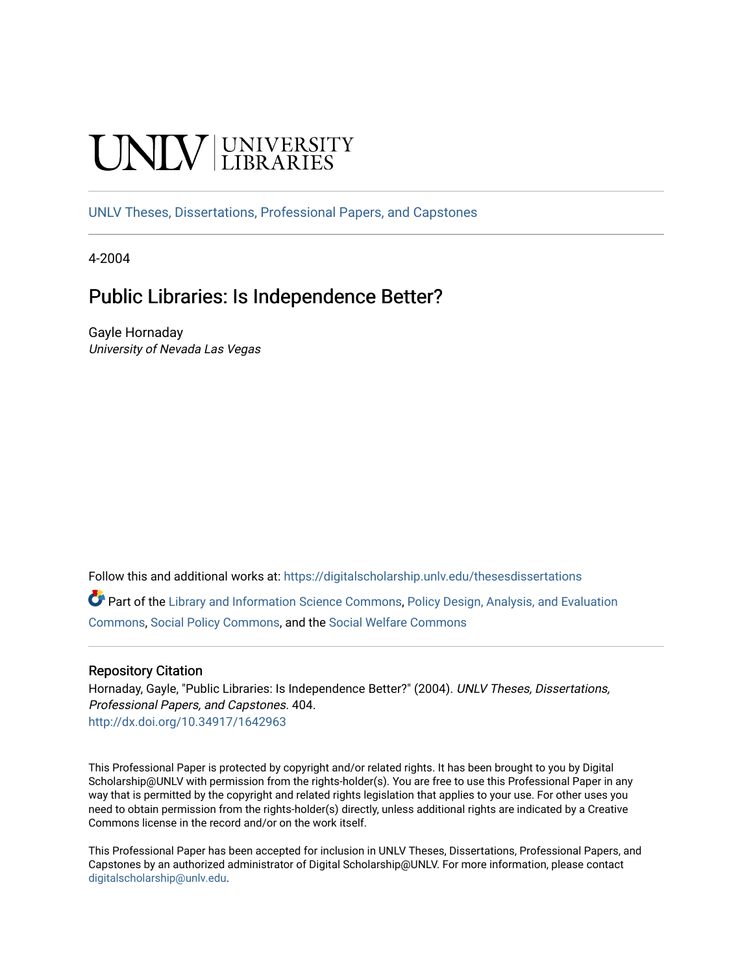# **CINITY** UNIVERSITY

[UNLV Theses, Dissertations, Professional Papers, and Capstones](https://digitalscholarship.unlv.edu/thesesdissertations)

4-2004

# Public Libraries: Is Independence Better?

Gayle Hornaday University of Nevada Las Vegas

Follow this and additional works at: [https://digitalscholarship.unlv.edu/thesesdissertations](https://digitalscholarship.unlv.edu/thesesdissertations?utm_source=digitalscholarship.unlv.edu%2Fthesesdissertations%2F404&utm_medium=PDF&utm_campaign=PDFCoverPages)

Part of the [Library and Information Science Commons,](http://network.bepress.com/hgg/discipline/1018?utm_source=digitalscholarship.unlv.edu%2Fthesesdissertations%2F404&utm_medium=PDF&utm_campaign=PDFCoverPages) [Policy Design, Analysis, and Evaluation](http://network.bepress.com/hgg/discipline/1032?utm_source=digitalscholarship.unlv.edu%2Fthesesdissertations%2F404&utm_medium=PDF&utm_campaign=PDFCoverPages)  [Commons](http://network.bepress.com/hgg/discipline/1032?utm_source=digitalscholarship.unlv.edu%2Fthesesdissertations%2F404&utm_medium=PDF&utm_campaign=PDFCoverPages), [Social Policy Commons,](http://network.bepress.com/hgg/discipline/1030?utm_source=digitalscholarship.unlv.edu%2Fthesesdissertations%2F404&utm_medium=PDF&utm_campaign=PDFCoverPages) and the [Social Welfare Commons](http://network.bepress.com/hgg/discipline/401?utm_source=digitalscholarship.unlv.edu%2Fthesesdissertations%2F404&utm_medium=PDF&utm_campaign=PDFCoverPages) 

#### Repository Citation

Hornaday, Gayle, "Public Libraries: Is Independence Better?" (2004). UNLV Theses, Dissertations, Professional Papers, and Capstones. 404. <http://dx.doi.org/10.34917/1642963>

This Professional Paper is protected by copyright and/or related rights. It has been brought to you by Digital Scholarship@UNLV with permission from the rights-holder(s). You are free to use this Professional Paper in any way that is permitted by the copyright and related rights legislation that applies to your use. For other uses you need to obtain permission from the rights-holder(s) directly, unless additional rights are indicated by a Creative Commons license in the record and/or on the work itself.

This Professional Paper has been accepted for inclusion in UNLV Theses, Dissertations, Professional Papers, and Capstones by an authorized administrator of Digital Scholarship@UNLV. For more information, please contact [digitalscholarship@unlv.edu](mailto:digitalscholarship@unlv.edu).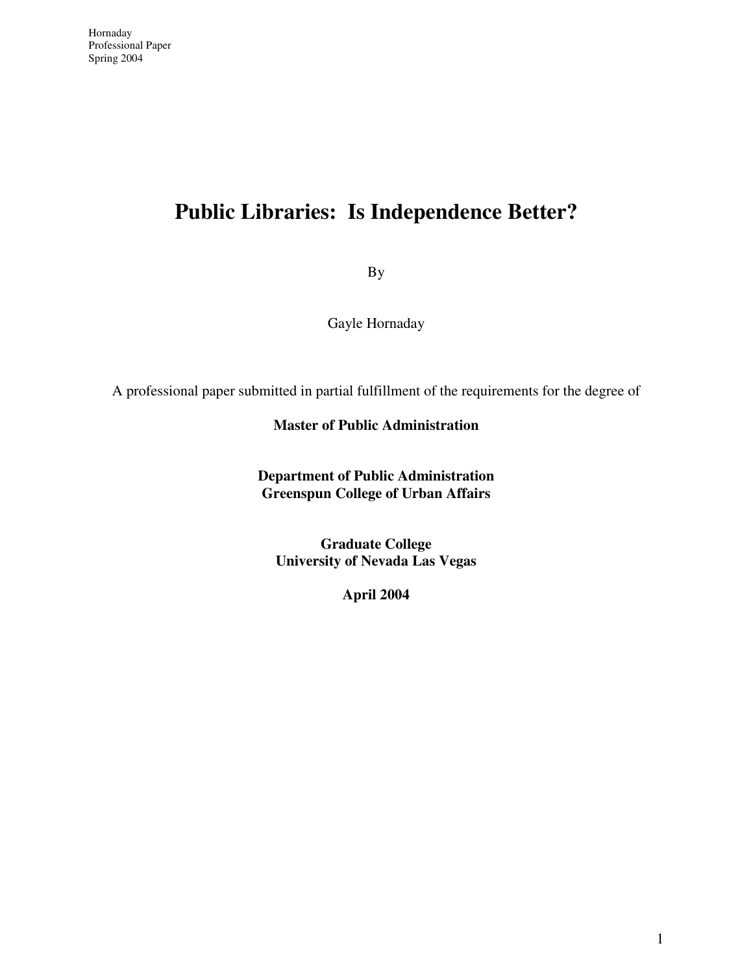# **Public Libraries: Is Independence Better?**

By

Gayle Hornaday

A professional paper submitted in partial fulfillment of the requirements for the degree of

#### **Master of Public Administration**

**Department of Public Administration Greenspun College of Urban Affairs** 

**Graduate College University of Nevada Las Vegas** 

**April 2004**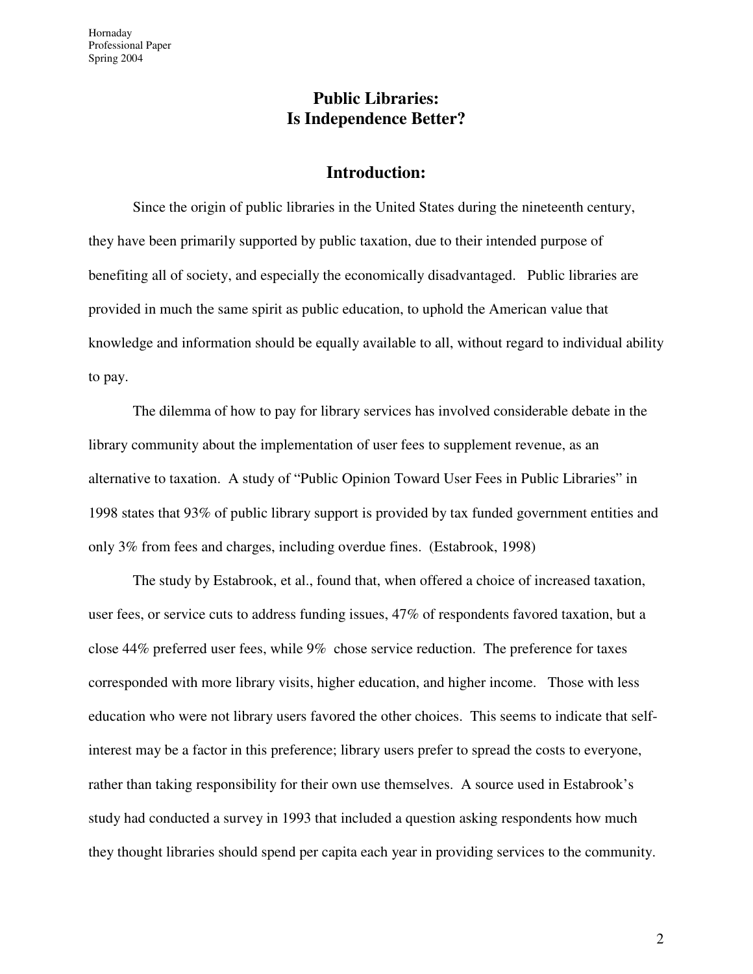## **Public Libraries: Is Independence Better?**

#### **Introduction:**

Since the origin of public libraries in the United States during the nineteenth century, they have been primarily supported by public taxation, due to their intended purpose of benefiting all of society, and especially the economically disadvantaged. Public libraries are provided in much the same spirit as public education, to uphold the American value that knowledge and information should be equally available to all, without regard to individual ability to pay.

The dilemma of how to pay for library services has involved considerable debate in the library community about the implementation of user fees to supplement revenue, as an alternative to taxation. A study of "Public Opinion Toward User Fees in Public Libraries" in 1998 states that 93% of public library support is provided by tax funded government entities and only 3% from fees and charges, including overdue fines. (Estabrook, 1998)

The study by Estabrook, et al., found that, when offered a choice of increased taxation, user fees, or service cuts to address funding issues, 47% of respondents favored taxation, but a close 44% preferred user fees, while 9% chose service reduction. The preference for taxes corresponded with more library visits, higher education, and higher income. Those with less education who were not library users favored the other choices. This seems to indicate that selfinterest may be a factor in this preference; library users prefer to spread the costs to everyone, rather than taking responsibility for their own use themselves. A source used in Estabrook's study had conducted a survey in 1993 that included a question asking respondents how much they thought libraries should spend per capita each year in providing services to the community.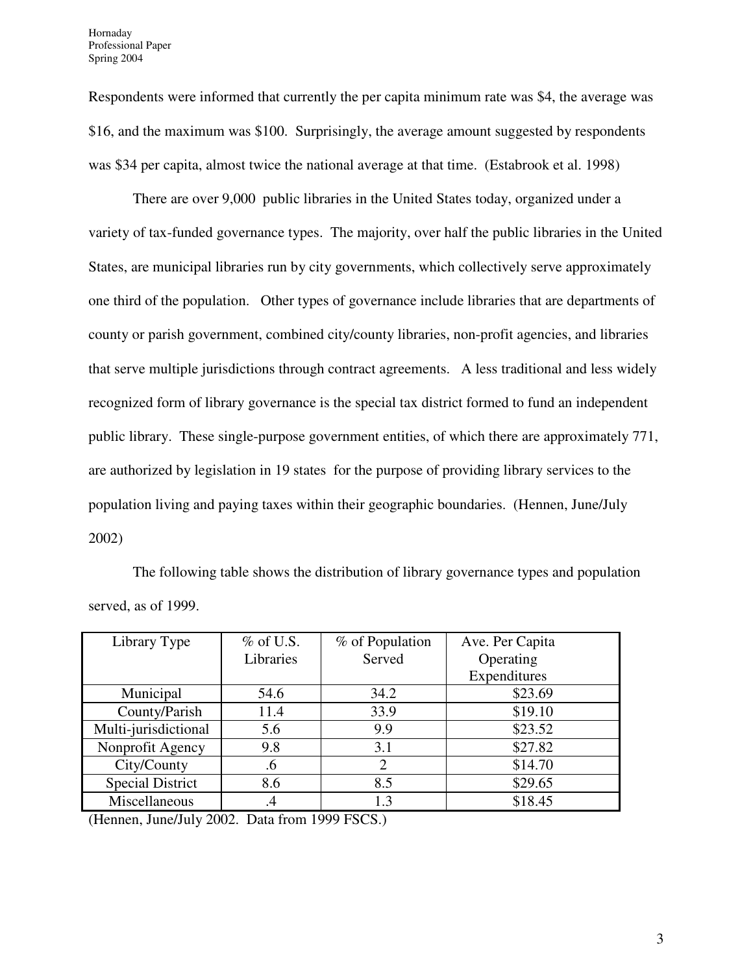Respondents were informed that currently the per capita minimum rate was \$4, the average was \$16, and the maximum was \$100. Surprisingly, the average amount suggested by respondents was \$34 per capita, almost twice the national average at that time. (Estabrook et al. 1998)

There are over 9,000 public libraries in the United States today, organized under a variety of tax-funded governance types. The majority, over half the public libraries in the United States, are municipal libraries run by city governments, which collectively serve approximately one third of the population. Other types of governance include libraries that are departments of county or parish government, combined city/county libraries, non-profit agencies, and libraries that serve multiple jurisdictions through contract agreements. A less traditional and less widely recognized form of library governance is the special tax district formed to fund an independent public library. These single-purpose government entities, of which there are approximately 771, are authorized by legislation in 19 states for the purpose of providing library services to the population living and paying taxes within their geographic boundaries. (Hennen, June/July 2002)

The following table shows the distribution of library governance types and population served, as of 1999.

| Library Type                    | $\%$ of U.S. | % of Population | Ave. Per Capita |
|---------------------------------|--------------|-----------------|-----------------|
|                                 | Libraries    | Served          | Operating       |
|                                 |              |                 | Expenditures    |
| Municipal                       | 54.6         | 34.2            | \$23.69         |
| County/Parish                   | 11.4         | 33.9            | \$19.10         |
| Multi-jurisdictional            | 5.6          | 9.9             | \$23.52         |
| Nonprofit Agency                | 9.8          | 3.1             | \$27.82         |
| City/County                     | .6           | 2               | \$14.70         |
| <b>Special District</b>         | 8.6          | 8.5             | \$29.65         |
| Miscellaneous                   | $\cdot$      | 1.3             | \$18.45         |
| $    -$<br>$\sim$ $\sim$ $\sim$ |              |                 |                 |

(Hennen, June/July 2002. Data from 1999 FSCS.)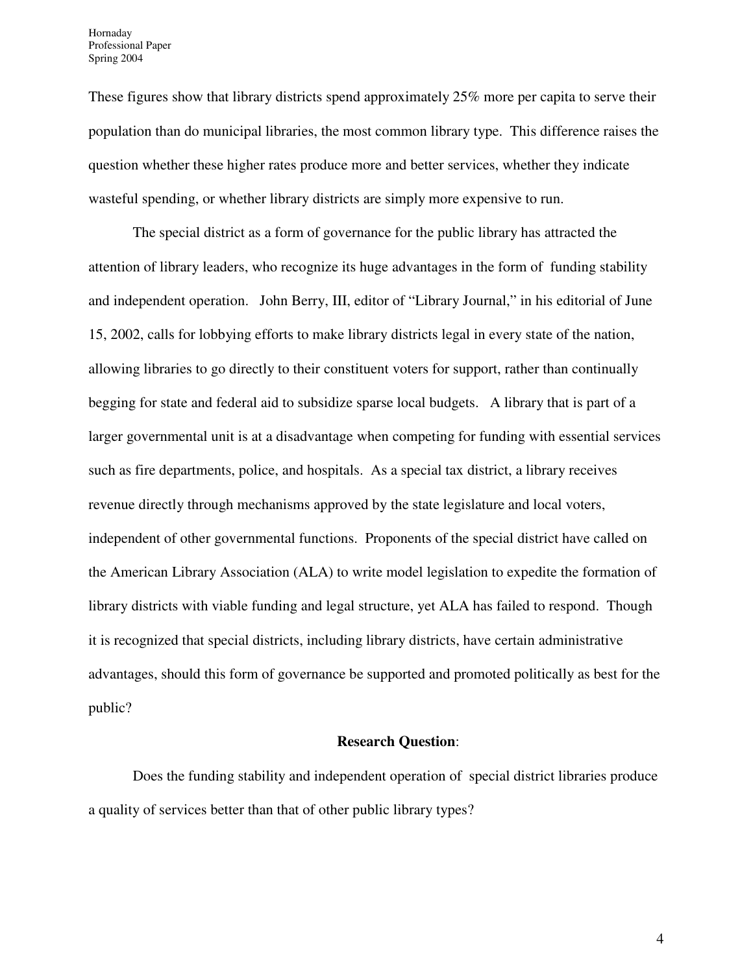These figures show that library districts spend approximately 25% more per capita to serve their population than do municipal libraries, the most common library type. This difference raises the question whether these higher rates produce more and better services, whether they indicate wasteful spending, or whether library districts are simply more expensive to run.

The special district as a form of governance for the public library has attracted the attention of library leaders, who recognize its huge advantages in the form of funding stability and independent operation. John Berry, III, editor of "Library Journal," in his editorial of June 15, 2002, calls for lobbying efforts to make library districts legal in every state of the nation, allowing libraries to go directly to their constituent voters for support, rather than continually begging for state and federal aid to subsidize sparse local budgets. A library that is part of a larger governmental unit is at a disadvantage when competing for funding with essential services such as fire departments, police, and hospitals. As a special tax district, a library receives revenue directly through mechanisms approved by the state legislature and local voters, independent of other governmental functions. Proponents of the special district have called on the American Library Association (ALA) to write model legislation to expedite the formation of library districts with viable funding and legal structure, yet ALA has failed to respond. Though it is recognized that special districts, including library districts, have certain administrative advantages, should this form of governance be supported and promoted politically as best for the public?

#### **Research Question**:

Does the funding stability and independent operation of special district libraries produce a quality of services better than that of other public library types?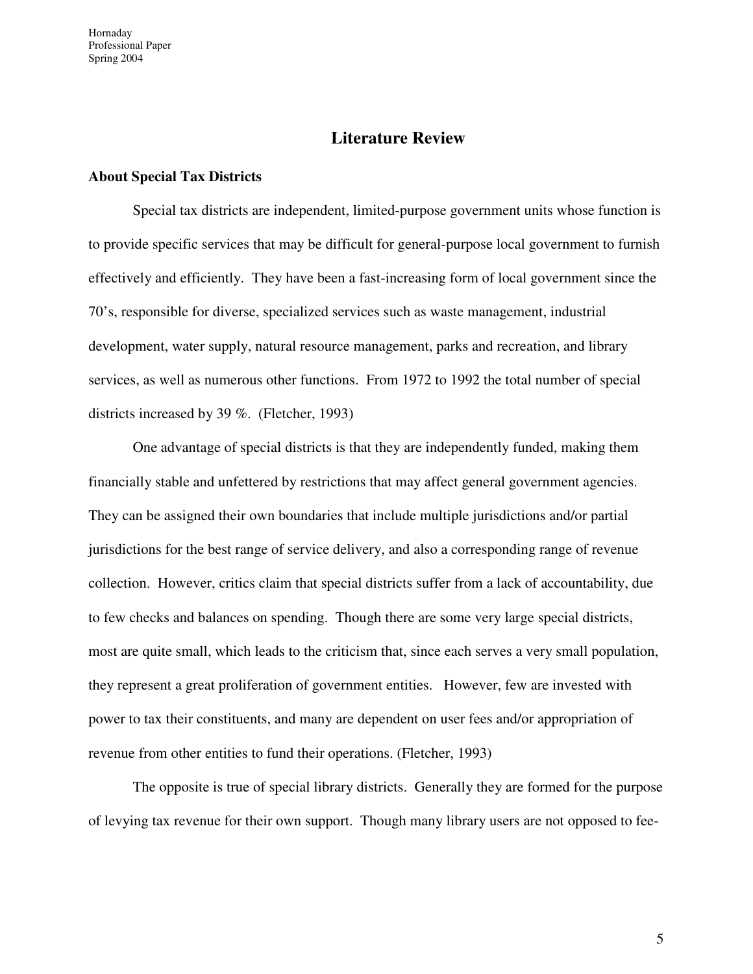Hornaday Professional Paper Spring 2004

#### **Literature Review**

#### **About Special Tax Districts**

Special tax districts are independent, limited-purpose government units whose function is to provide specific services that may be difficult for general-purpose local government to furnish effectively and efficiently. They have been a fast-increasing form of local government since the 70's, responsible for diverse, specialized services such as waste management, industrial development, water supply, natural resource management, parks and recreation, and library services, as well as numerous other functions. From 1972 to 1992 the total number of special districts increased by 39 %. (Fletcher, 1993)

One advantage of special districts is that they are independently funded, making them financially stable and unfettered by restrictions that may affect general government agencies. They can be assigned their own boundaries that include multiple jurisdictions and/or partial jurisdictions for the best range of service delivery, and also a corresponding range of revenue collection. However, critics claim that special districts suffer from a lack of accountability, due to few checks and balances on spending. Though there are some very large special districts, most are quite small, which leads to the criticism that, since each serves a very small population, they represent a great proliferation of government entities. However, few are invested with power to tax their constituents, and many are dependent on user fees and/or appropriation of revenue from other entities to fund their operations. (Fletcher, 1993)

The opposite is true of special library districts. Generally they are formed for the purpose of levying tax revenue for their own support. Though many library users are not opposed to fee-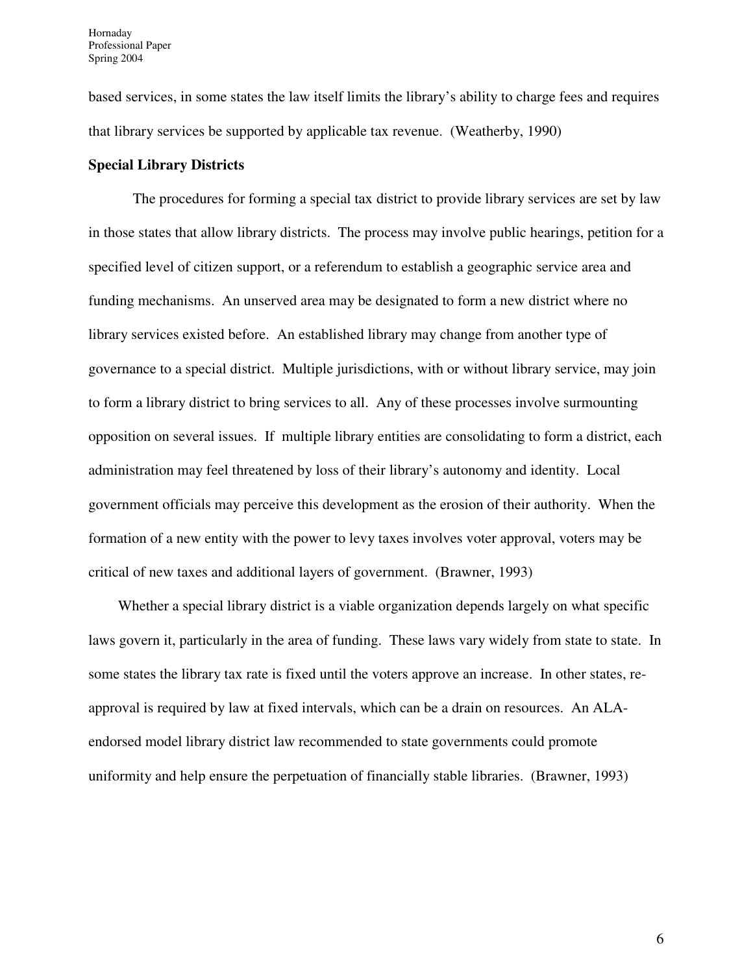based services, in some states the law itself limits the library's ability to charge fees and requires that library services be supported by applicable tax revenue. (Weatherby, 1990)

#### **Special Library Districts**

 The procedures for forming a special tax district to provide library services are set by law in those states that allow library districts. The process may involve public hearings, petition for a specified level of citizen support, or a referendum to establish a geographic service area and funding mechanisms. An unserved area may be designated to form a new district where no library services existed before. An established library may change from another type of governance to a special district. Multiple jurisdictions, with or without library service, may join to form a library district to bring services to all. Any of these processes involve surmounting opposition on several issues. If multiple library entities are consolidating to form a district, each administration may feel threatened by loss of their library's autonomy and identity. Local government officials may perceive this development as the erosion of their authority. When the formation of a new entity with the power to levy taxes involves voter approval, voters may be critical of new taxes and additional layers of government. (Brawner, 1993)

 Whether a special library district is a viable organization depends largely on what specific laws govern it, particularly in the area of funding. These laws vary widely from state to state. In some states the library tax rate is fixed until the voters approve an increase. In other states, reapproval is required by law at fixed intervals, which can be a drain on resources. An ALAendorsed model library district law recommended to state governments could promote uniformity and help ensure the perpetuation of financially stable libraries. (Brawner, 1993)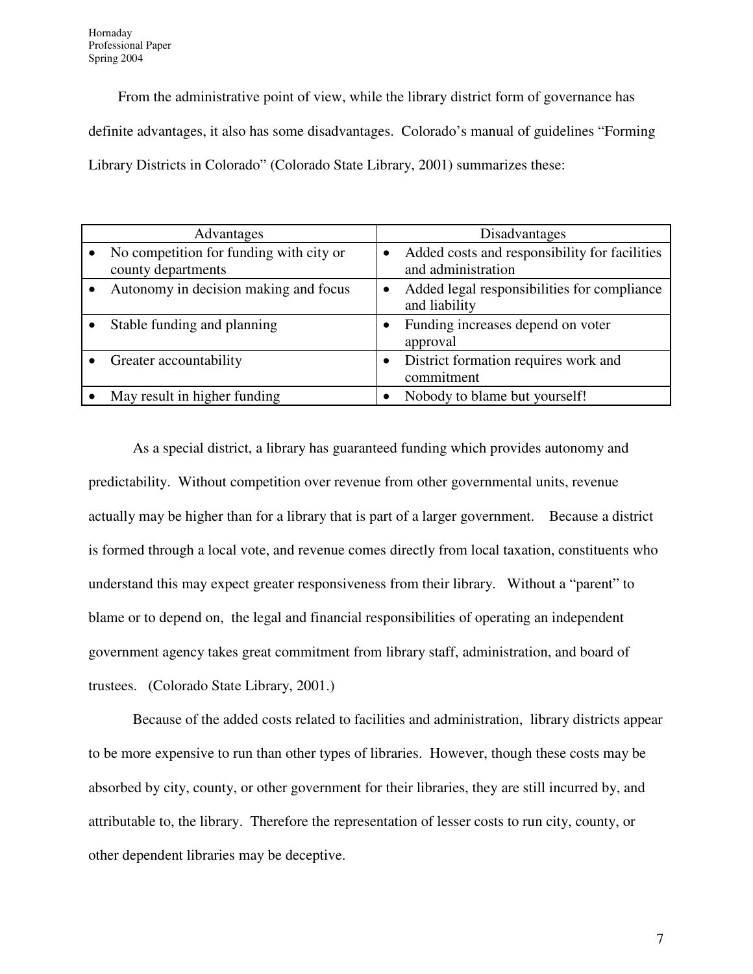From the administrative point of view, while the library district form of governance has definite advantages, it also has some disadvantages. Colorado's manual of guidelines "Forming Library Districts in Colorado" (Colorado State Library, 2001) summarizes these:

| Advantages                                                    | Disadvantages                                                       |
|---------------------------------------------------------------|---------------------------------------------------------------------|
| No competition for funding with city or<br>county departments | Added costs and responsibility for facilities<br>and administration |
| Autonomy in decision making and focus                         | Added legal responsibilities for compliance<br>and liability        |
| Stable funding and planning                                   | Funding increases depend on voter<br>approval                       |
| Greater accountability                                        | District formation requires work and<br>commitment                  |
| May result in higher funding                                  | Nobody to blame but yourself!                                       |

 As a special district, a library has guaranteed funding which provides autonomy and predictability. Without competition over revenue from other governmental units, revenue actually may be higher than for a library that is part of a larger government. Because a district is formed through a local vote, and revenue comes directly from local taxation, constituents who understand this may expect greater responsiveness from their library. Without a "parent" to blame or to depend on, the legal and financial responsibilities of operating an independent government agency takes great commitment from library staff, administration, and board of trustees. (Colorado State Library, 2001.)

Because of the added costs related to facilities and administration, library districts appear to be more expensive to run than other types of libraries. However, though these costs may be absorbed by city, county, or other government for their libraries, they are still incurred by, and attributable to, the library. Therefore the representation of lesser costs to run city, county, or other dependent libraries may be deceptive.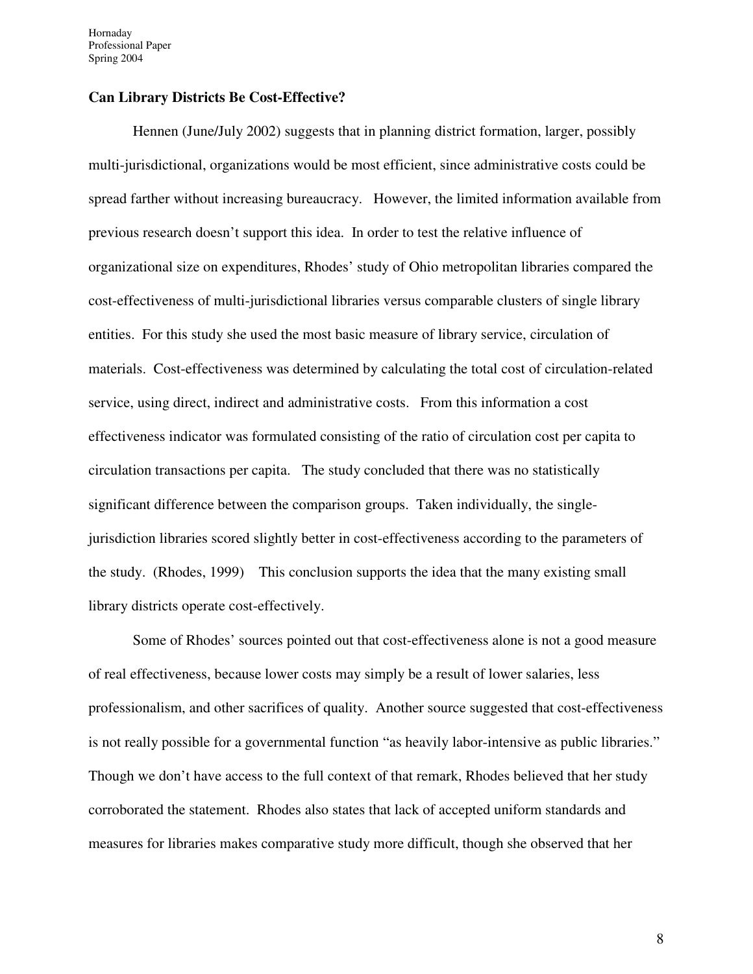Hornaday Professional Paper Spring 2004

#### **Can Library Districts Be Cost-Effective?**

Hennen (June/July 2002) suggests that in planning district formation, larger, possibly multi-jurisdictional, organizations would be most efficient, since administrative costs could be spread farther without increasing bureaucracy. However, the limited information available from previous research doesn't support this idea. In order to test the relative influence of organizational size on expenditures, Rhodes' study of Ohio metropolitan libraries compared the cost-effectiveness of multi-jurisdictional libraries versus comparable clusters of single library entities. For this study she used the most basic measure of library service, circulation of materials. Cost-effectiveness was determined by calculating the total cost of circulation-related service, using direct, indirect and administrative costs. From this information a cost effectiveness indicator was formulated consisting of the ratio of circulation cost per capita to circulation transactions per capita. The study concluded that there was no statistically significant difference between the comparison groups. Taken individually, the singlejurisdiction libraries scored slightly better in cost-effectiveness according to the parameters of the study. (Rhodes, 1999) This conclusion supports the idea that the many existing small library districts operate cost-effectively.

Some of Rhodes' sources pointed out that cost-effectiveness alone is not a good measure of real effectiveness, because lower costs may simply be a result of lower salaries, less professionalism, and other sacrifices of quality. Another source suggested that cost-effectiveness is not really possible for a governmental function "as heavily labor-intensive as public libraries." Though we don't have access to the full context of that remark, Rhodes believed that her study corroborated the statement. Rhodes also states that lack of accepted uniform standards and measures for libraries makes comparative study more difficult, though she observed that her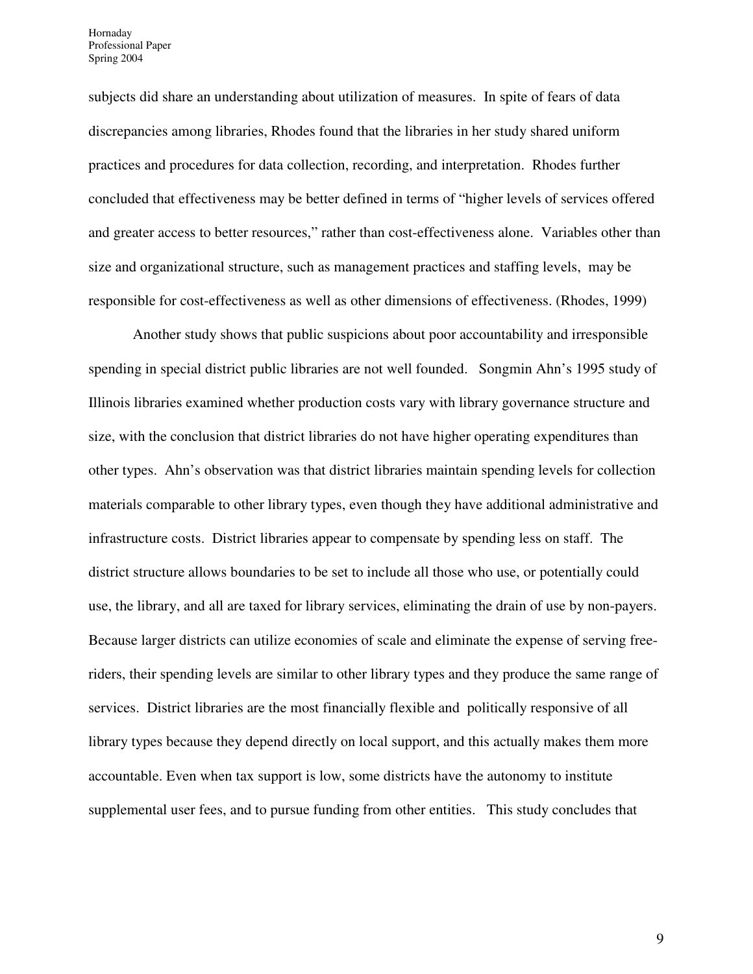Hornaday Professional Paper Spring 2004

subjects did share an understanding about utilization of measures. In spite of fears of data discrepancies among libraries, Rhodes found that the libraries in her study shared uniform practices and procedures for data collection, recording, and interpretation. Rhodes further concluded that effectiveness may be better defined in terms of "higher levels of services offered and greater access to better resources," rather than cost-effectiveness alone. Variables other than size and organizational structure, such as management practices and staffing levels, may be responsible for cost-effectiveness as well as other dimensions of effectiveness. (Rhodes, 1999)

 Another study shows that public suspicions about poor accountability and irresponsible spending in special district public libraries are not well founded. Songmin Ahn's 1995 study of Illinois libraries examined whether production costs vary with library governance structure and size, with the conclusion that district libraries do not have higher operating expenditures than other types. Ahn's observation was that district libraries maintain spending levels for collection materials comparable to other library types, even though they have additional administrative and infrastructure costs. District libraries appear to compensate by spending less on staff. The district structure allows boundaries to be set to include all those who use, or potentially could use, the library, and all are taxed for library services, eliminating the drain of use by non-payers. Because larger districts can utilize economies of scale and eliminate the expense of serving freeriders, their spending levels are similar to other library types and they produce the same range of services. District libraries are the most financially flexible and politically responsive of all library types because they depend directly on local support, and this actually makes them more accountable. Even when tax support is low, some districts have the autonomy to institute supplemental user fees, and to pursue funding from other entities. This study concludes that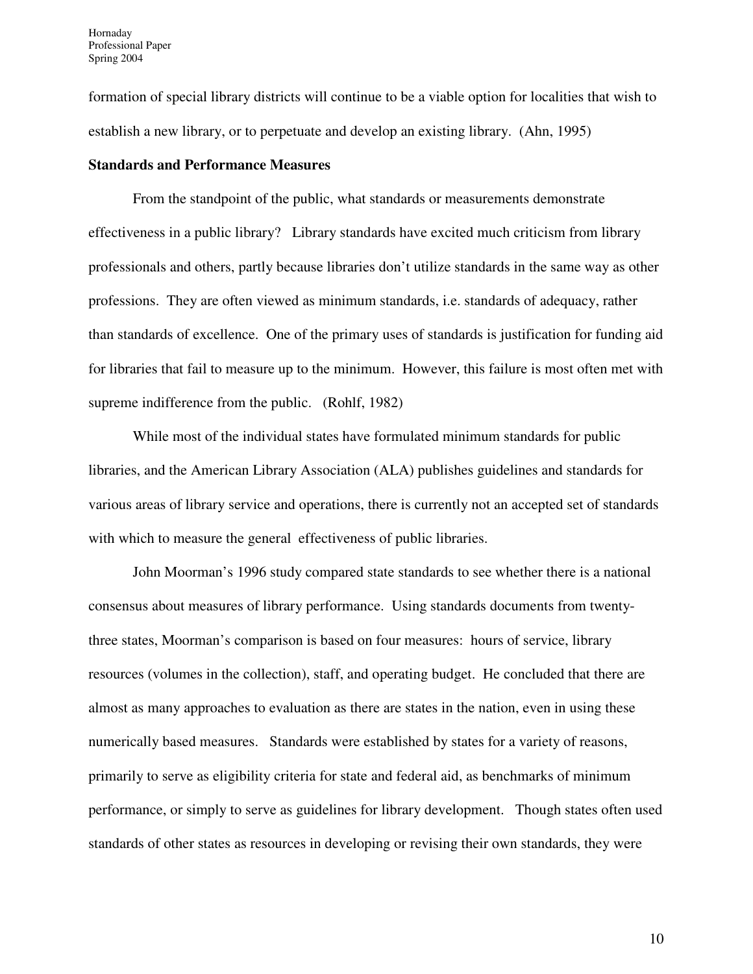formation of special library districts will continue to be a viable option for localities that wish to establish a new library, or to perpetuate and develop an existing library. (Ahn, 1995)

#### **Standards and Performance Measures**

From the standpoint of the public, what standards or measurements demonstrate effectiveness in a public library? Library standards have excited much criticism from library professionals and others, partly because libraries don't utilize standards in the same way as other professions. They are often viewed as minimum standards, i.e. standards of adequacy, rather than standards of excellence. One of the primary uses of standards is justification for funding aid for libraries that fail to measure up to the minimum. However, this failure is most often met with supreme indifference from the public. (Rohlf, 1982)

While most of the individual states have formulated minimum standards for public libraries, and the American Library Association (ALA) publishes guidelines and standards for various areas of library service and operations, there is currently not an accepted set of standards with which to measure the general effectiveness of public libraries.

John Moorman's 1996 study compared state standards to see whether there is a national consensus about measures of library performance. Using standards documents from twentythree states, Moorman's comparison is based on four measures: hours of service, library resources (volumes in the collection), staff, and operating budget. He concluded that there are almost as many approaches to evaluation as there are states in the nation, even in using these numerically based measures. Standards were established by states for a variety of reasons, primarily to serve as eligibility criteria for state and federal aid, as benchmarks of minimum performance, or simply to serve as guidelines for library development. Though states often used standards of other states as resources in developing or revising their own standards, they were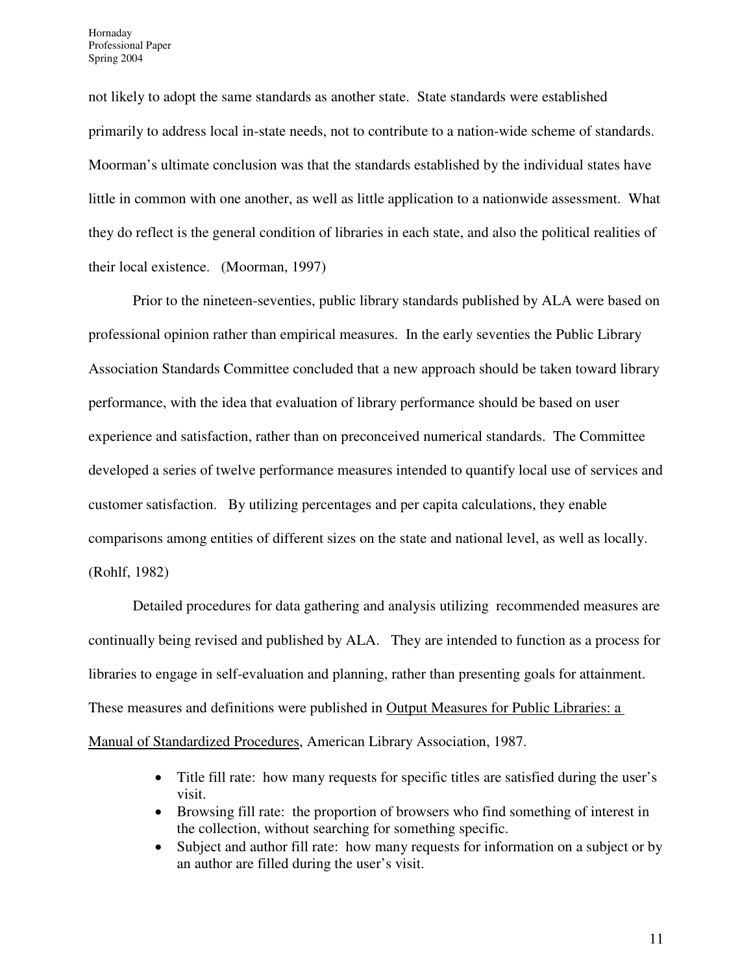not likely to adopt the same standards as another state. State standards were established primarily to address local in-state needs, not to contribute to a nation-wide scheme of standards. Moorman's ultimate conclusion was that the standards established by the individual states have little in common with one another, as well as little application to a nationwide assessment. What they do reflect is the general condition of libraries in each state, and also the political realities of their local existence. (Moorman, 1997)

Prior to the nineteen-seventies, public library standards published by ALA were based on professional opinion rather than empirical measures. In the early seventies the Public Library Association Standards Committee concluded that a new approach should be taken toward library performance, with the idea that evaluation of library performance should be based on user experience and satisfaction, rather than on preconceived numerical standards. The Committee developed a series of twelve performance measures intended to quantify local use of services and customer satisfaction. By utilizing percentages and per capita calculations, they enable comparisons among entities of different sizes on the state and national level, as well as locally. (Rohlf, 1982)

 Detailed procedures for data gathering and analysis utilizing recommended measures are continually being revised and published by ALA. They are intended to function as a process for libraries to engage in self-evaluation and planning, rather than presenting goals for attainment. These measures and definitions were published in Output Measures for Public Libraries: a

Manual of Standardized Procedures, American Library Association, 1987.

- Title fill rate: how many requests for specific titles are satisfied during the user's visit.
- Browsing fill rate: the proportion of browsers who find something of interest in the collection, without searching for something specific.
- Subject and author fill rate: how many requests for information on a subject or by an author are filled during the user's visit.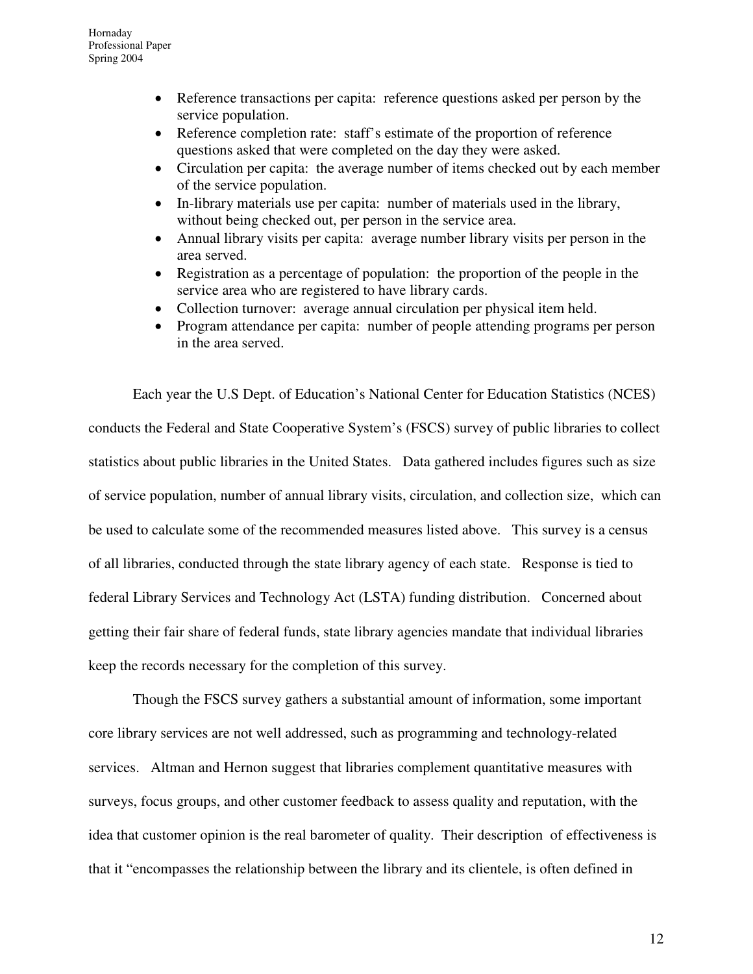- Reference transactions per capita: reference questions asked per person by the service population.
- Reference completion rate: staff's estimate of the proportion of reference questions asked that were completed on the day they were asked.
- Circulation per capita: the average number of items checked out by each member of the service population.
- In-library materials use per capita: number of materials used in the library, without being checked out, per person in the service area.
- Annual library visits per capita: average number library visits per person in the area served.
- Registration as a percentage of population: the proportion of the people in the service area who are registered to have library cards.
- Collection turnover: average annual circulation per physical item held.
- Program attendance per capita: number of people attending programs per person in the area served.

Each year the U.S Dept. of Education's National Center for Education Statistics (NCES) conducts the Federal and State Cooperative System's (FSCS) survey of public libraries to collect statistics about public libraries in the United States. Data gathered includes figures such as size of service population, number of annual library visits, circulation, and collection size, which can be used to calculate some of the recommended measures listed above. This survey is a census of all libraries, conducted through the state library agency of each state. Response is tied to federal Library Services and Technology Act (LSTA) funding distribution. Concerned about getting their fair share of federal funds, state library agencies mandate that individual libraries keep the records necessary for the completion of this survey.

 Though the FSCS survey gathers a substantial amount of information, some important core library services are not well addressed, such as programming and technology-related services. Altman and Hernon suggest that libraries complement quantitative measures with surveys, focus groups, and other customer feedback to assess quality and reputation, with the idea that customer opinion is the real barometer of quality. Their description of effectiveness is that it "encompasses the relationship between the library and its clientele, is often defined in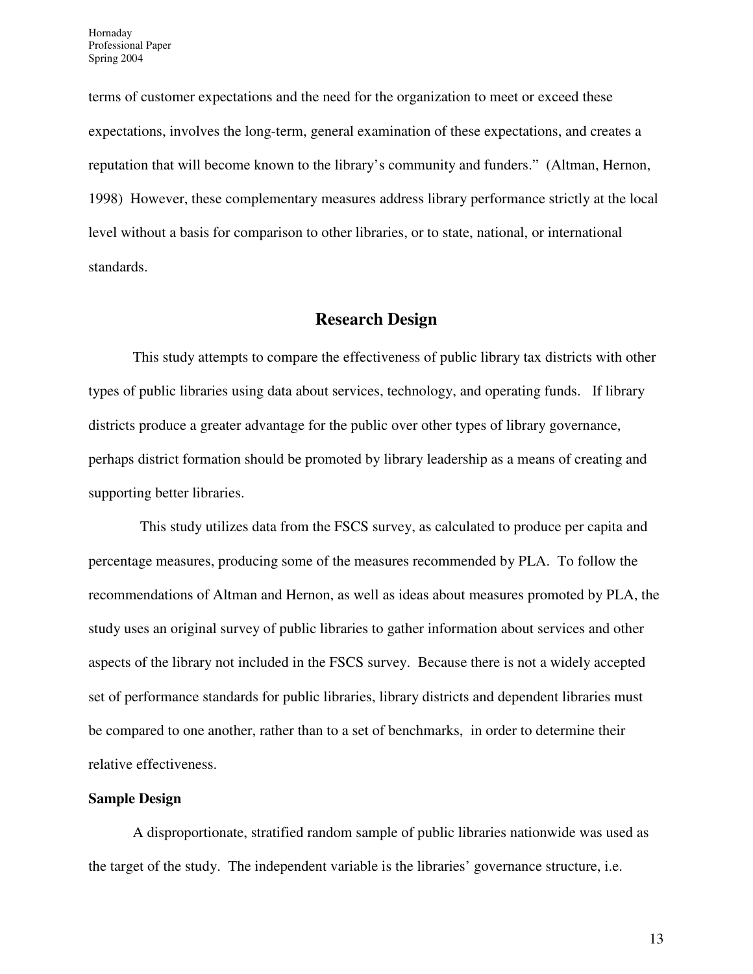terms of customer expectations and the need for the organization to meet or exceed these expectations, involves the long-term, general examination of these expectations, and creates a reputation that will become known to the library's community and funders." (Altman, Hernon, 1998) However, these complementary measures address library performance strictly at the local level without a basis for comparison to other libraries, or to state, national, or international standards.

#### **Research Design**

This study attempts to compare the effectiveness of public library tax districts with other types of public libraries using data about services, technology, and operating funds. If library districts produce a greater advantage for the public over other types of library governance, perhaps district formation should be promoted by library leadership as a means of creating and supporting better libraries.

 This study utilizes data from the FSCS survey, as calculated to produce per capita and percentage measures, producing some of the measures recommended by PLA. To follow the recommendations of Altman and Hernon, as well as ideas about measures promoted by PLA, the study uses an original survey of public libraries to gather information about services and other aspects of the library not included in the FSCS survey. Because there is not a widely accepted set of performance standards for public libraries, library districts and dependent libraries must be compared to one another, rather than to a set of benchmarks, in order to determine their relative effectiveness.

#### **Sample Design**

A disproportionate, stratified random sample of public libraries nationwide was used as the target of the study. The independent variable is the libraries' governance structure, i.e.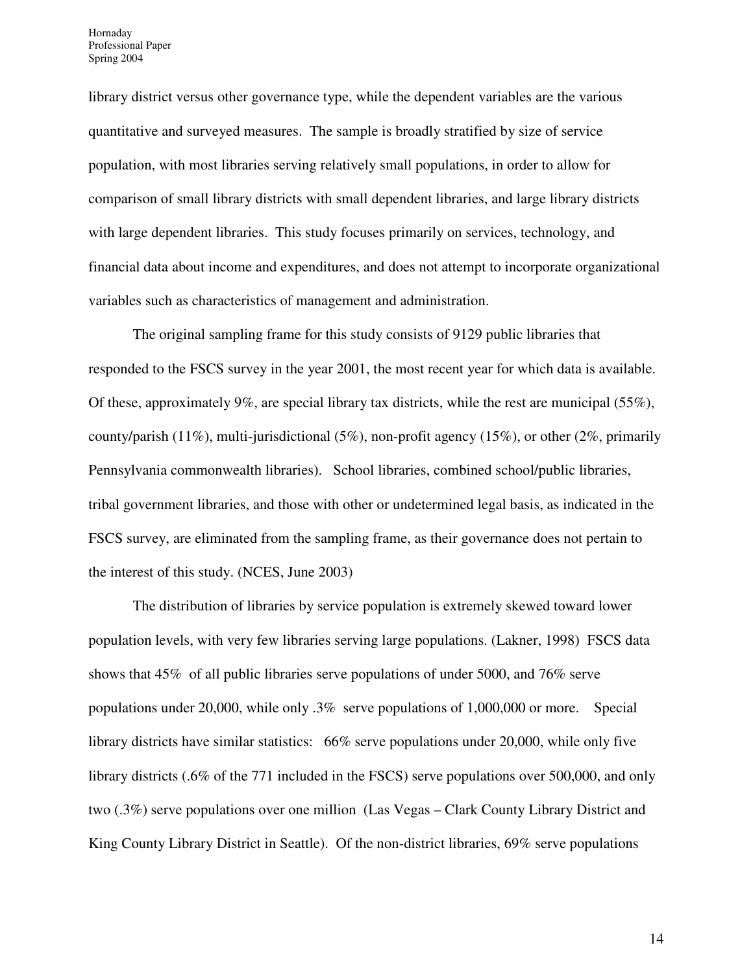library district versus other governance type, while the dependent variables are the various quantitative and surveyed measures. The sample is broadly stratified by size of service population, with most libraries serving relatively small populations, in order to allow for comparison of small library districts with small dependent libraries, and large library districts with large dependent libraries. This study focuses primarily on services, technology, and financial data about income and expenditures, and does not attempt to incorporate organizational variables such as characteristics of management and administration.

The original sampling frame for this study consists of 9129 public libraries that responded to the FSCS survey in the year 2001, the most recent year for which data is available. Of these, approximately 9%, are special library tax districts, while the rest are municipal (55%), county/parish (11%), multi-jurisdictional (5%), non-profit agency (15%), or other (2%, primarily Pennsylvania commonwealth libraries). School libraries, combined school/public libraries, tribal government libraries, and those with other or undetermined legal basis, as indicated in the FSCS survey, are eliminated from the sampling frame, as their governance does not pertain to the interest of this study. (NCES, June 2003)

The distribution of libraries by service population is extremely skewed toward lower population levels, with very few libraries serving large populations. (Lakner, 1998) FSCS data shows that 45% of all public libraries serve populations of under 5000, and 76% serve populations under 20,000, while only .3% serve populations of 1,000,000 or more. Special library districts have similar statistics: 66% serve populations under 20,000, while only five library districts (.6% of the 771 included in the FSCS) serve populations over 500,000, and only two (.3%) serve populations over one million (Las Vegas – Clark County Library District and King County Library District in Seattle). Of the non-district libraries, 69% serve populations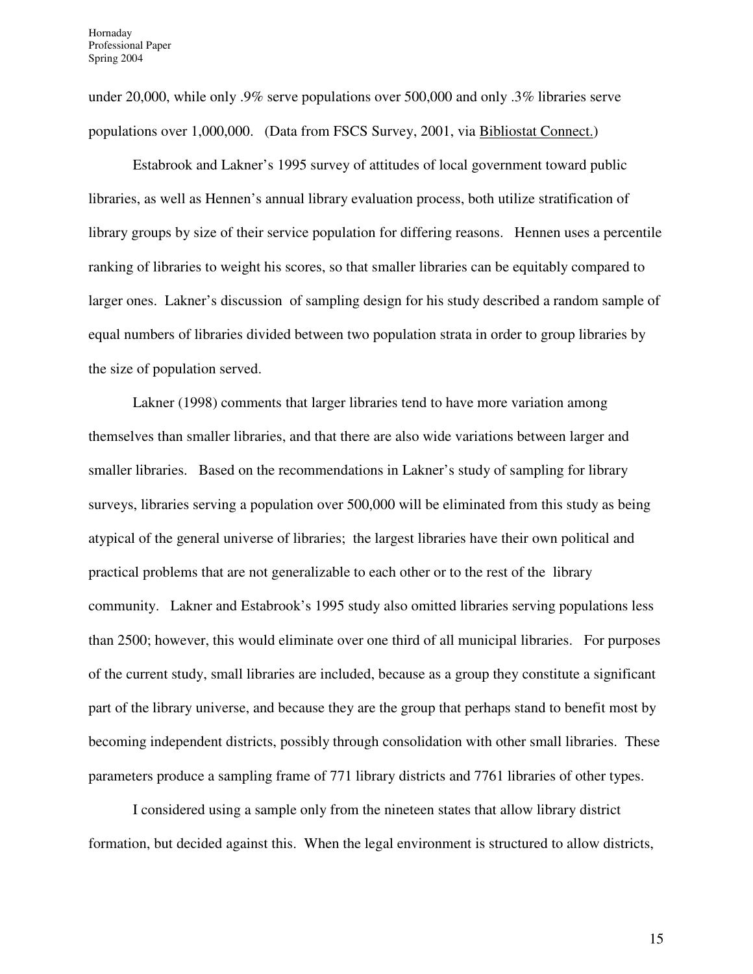under 20,000, while only .9% serve populations over 500,000 and only .3% libraries serve populations over 1,000,000. (Data from FSCS Survey, 2001, via Bibliostat Connect.)

Estabrook and Lakner's 1995 survey of attitudes of local government toward public libraries, as well as Hennen's annual library evaluation process, both utilize stratification of library groups by size of their service population for differing reasons. Hennen uses a percentile ranking of libraries to weight his scores, so that smaller libraries can be equitably compared to larger ones. Lakner's discussion of sampling design for his study described a random sample of equal numbers of libraries divided between two population strata in order to group libraries by the size of population served.

Lakner (1998) comments that larger libraries tend to have more variation among themselves than smaller libraries, and that there are also wide variations between larger and smaller libraries. Based on the recommendations in Lakner's study of sampling for library surveys, libraries serving a population over 500,000 will be eliminated from this study as being atypical of the general universe of libraries; the largest libraries have their own political and practical problems that are not generalizable to each other or to the rest of the library community. Lakner and Estabrook's 1995 study also omitted libraries serving populations less than 2500; however, this would eliminate over one third of all municipal libraries. For purposes of the current study, small libraries are included, because as a group they constitute a significant part of the library universe, and because they are the group that perhaps stand to benefit most by becoming independent districts, possibly through consolidation with other small libraries. These parameters produce a sampling frame of 771 library districts and 7761 libraries of other types.

I considered using a sample only from the nineteen states that allow library district formation, but decided against this. When the legal environment is structured to allow districts,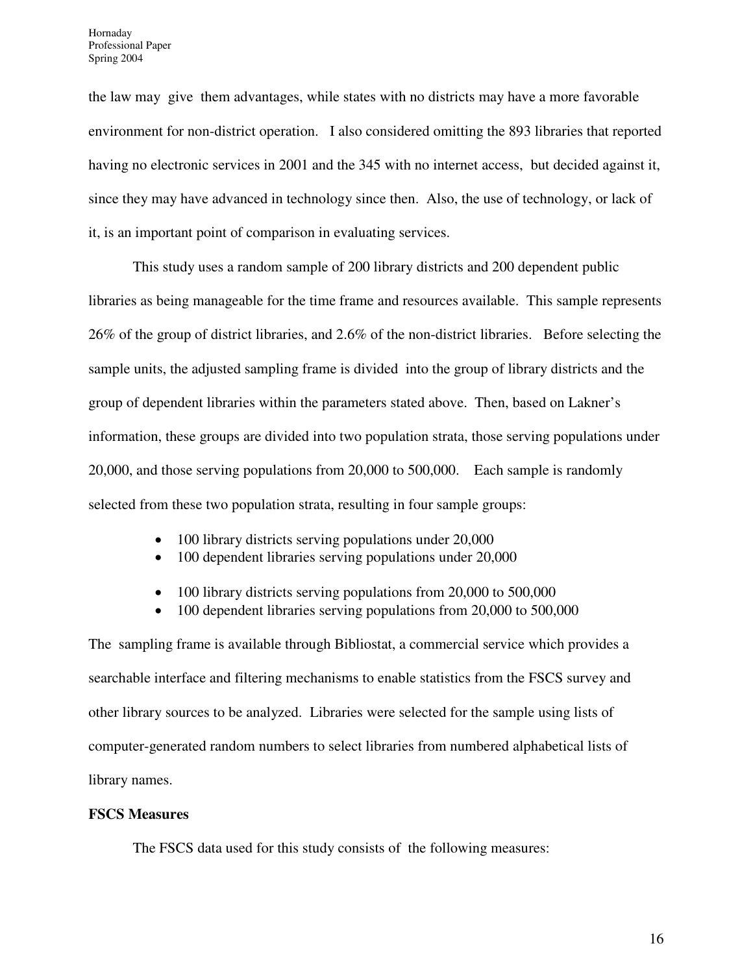the law may give them advantages, while states with no districts may have a more favorable environment for non-district operation. I also considered omitting the 893 libraries that reported having no electronic services in 2001 and the 345 with no internet access, but decided against it, since they may have advanced in technology since then. Also, the use of technology, or lack of it, is an important point of comparison in evaluating services.

This study uses a random sample of 200 library districts and 200 dependent public libraries as being manageable for the time frame and resources available. This sample represents 26% of the group of district libraries, and 2.6% of the non-district libraries. Before selecting the sample units, the adjusted sampling frame is divided into the group of library districts and the group of dependent libraries within the parameters stated above. Then, based on Lakner's information, these groups are divided into two population strata, those serving populations under 20,000, and those serving populations from 20,000 to 500,000. Each sample is randomly selected from these two population strata, resulting in four sample groups:

- 100 library districts serving populations under 20,000
- 100 dependent libraries serving populations under 20,000
- 100 library districts serving populations from 20,000 to 500,000
- 100 dependent libraries serving populations from 20,000 to 500,000

The sampling frame is available through Bibliostat, a commercial service which provides a searchable interface and filtering mechanisms to enable statistics from the FSCS survey and other library sources to be analyzed. Libraries were selected for the sample using lists of computer-generated random numbers to select libraries from numbered alphabetical lists of library names.

#### **FSCS Measures**

The FSCS data used for this study consists of the following measures: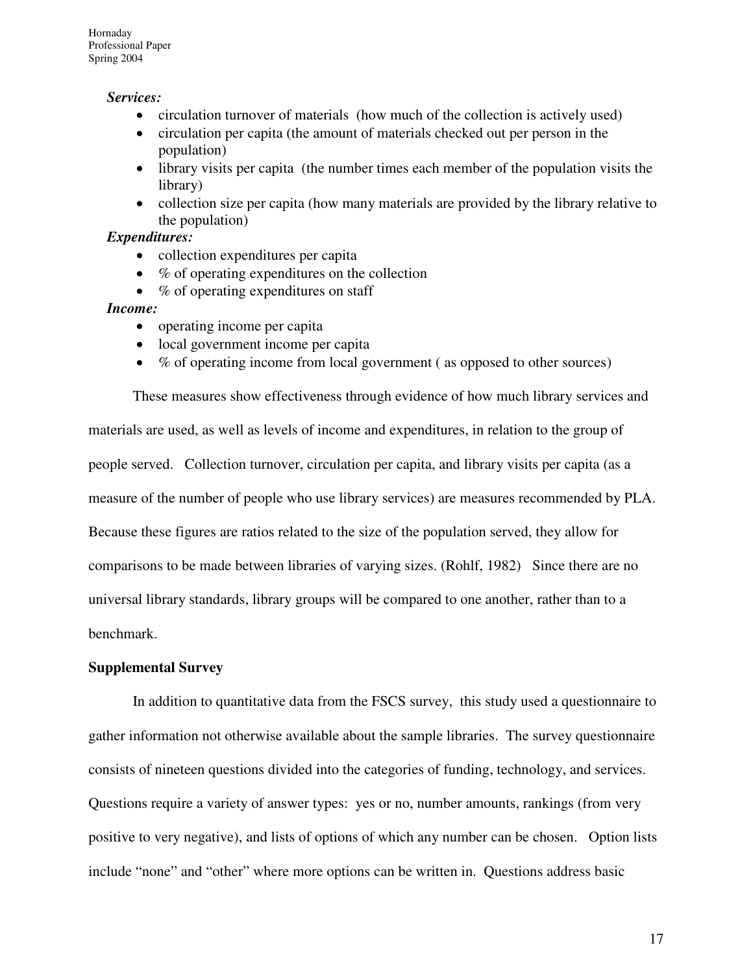#### *Services:*

- circulation turnover of materials (how much of the collection is actively used)
- circulation per capita (the amount of materials checked out per person in the population)
- library visits per capita (the number times each member of the population visits the library)
- collection size per capita (how many materials are provided by the library relative to the population)

#### *Expenditures:*

- collection expenditures per capita
- $%$  of operating expenditures on the collection
- % of operating expenditures on staff

#### *Income:*

- operating income per capita
- local government income per capita
- % of operating income from local government ( as opposed to other sources)

These measures show effectiveness through evidence of how much library services and materials are used, as well as levels of income and expenditures, in relation to the group of people served. Collection turnover, circulation per capita, and library visits per capita (as a measure of the number of people who use library services) are measures recommended by PLA. Because these figures are ratios related to the size of the population served, they allow for comparisons to be made between libraries of varying sizes. (Rohlf, 1982) Since there are no universal library standards, library groups will be compared to one another, rather than to a benchmark.

#### **Supplemental Survey**

In addition to quantitative data from the FSCS survey, this study used a questionnaire to gather information not otherwise available about the sample libraries. The survey questionnaire consists of nineteen questions divided into the categories of funding, technology, and services. Questions require a variety of answer types: yes or no, number amounts, rankings (from very positive to very negative), and lists of options of which any number can be chosen. Option lists include "none" and "other" where more options can be written in. Questions address basic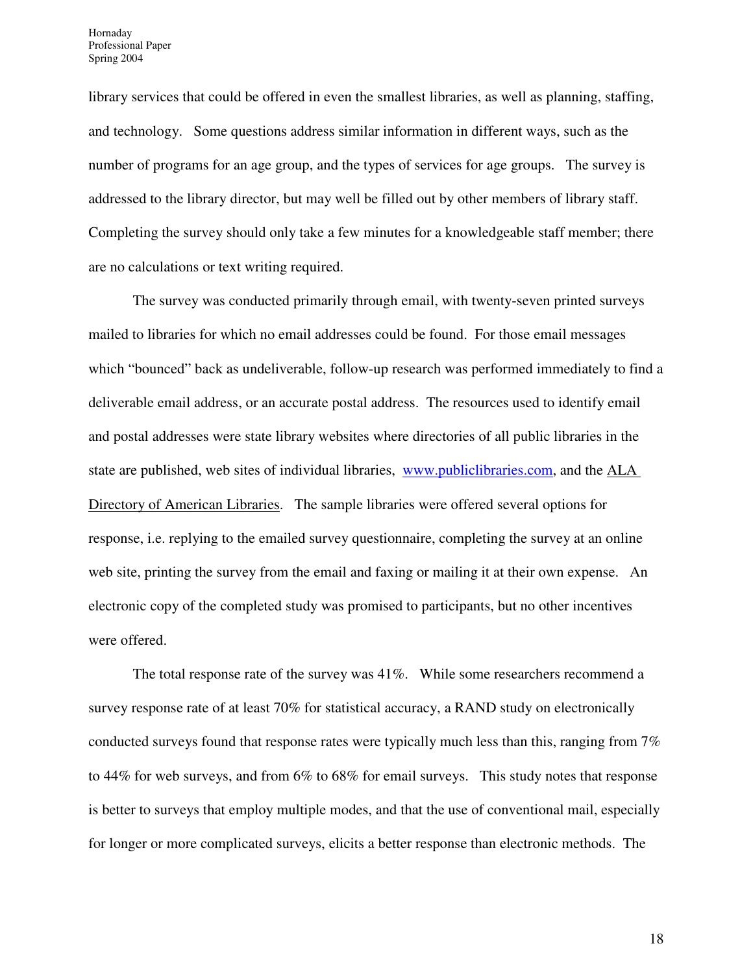library services that could be offered in even the smallest libraries, as well as planning, staffing, and technology. Some questions address similar information in different ways, such as the number of programs for an age group, and the types of services for age groups. The survey is addressed to the library director, but may well be filled out by other members of library staff. Completing the survey should only take a few minutes for a knowledgeable staff member; there are no calculations or text writing required.

The survey was conducted primarily through email, with twenty-seven printed surveys mailed to libraries for which no email addresses could be found. For those email messages which "bounced" back as undeliverable, follow-up research was performed immediately to find a deliverable email address, or an accurate postal address. The resources used to identify email and postal addresses were state library websites where directories of all public libraries in the state are published, web sites of individual libraries, www.publiclibraries.com, and the ALA Directory of American Libraries. The sample libraries were offered several options for response, i.e. replying to the emailed survey questionnaire, completing the survey at an online web site, printing the survey from the email and faxing or mailing it at their own expense. An electronic copy of the completed study was promised to participants, but no other incentives were offered.

The total response rate of the survey was 41%. While some researchers recommend a survey response rate of at least 70% for statistical accuracy, a RAND study on electronically conducted surveys found that response rates were typically much less than this, ranging from 7% to 44% for web surveys, and from 6% to 68% for email surveys. This study notes that response is better to surveys that employ multiple modes, and that the use of conventional mail, especially for longer or more complicated surveys, elicits a better response than electronic methods. The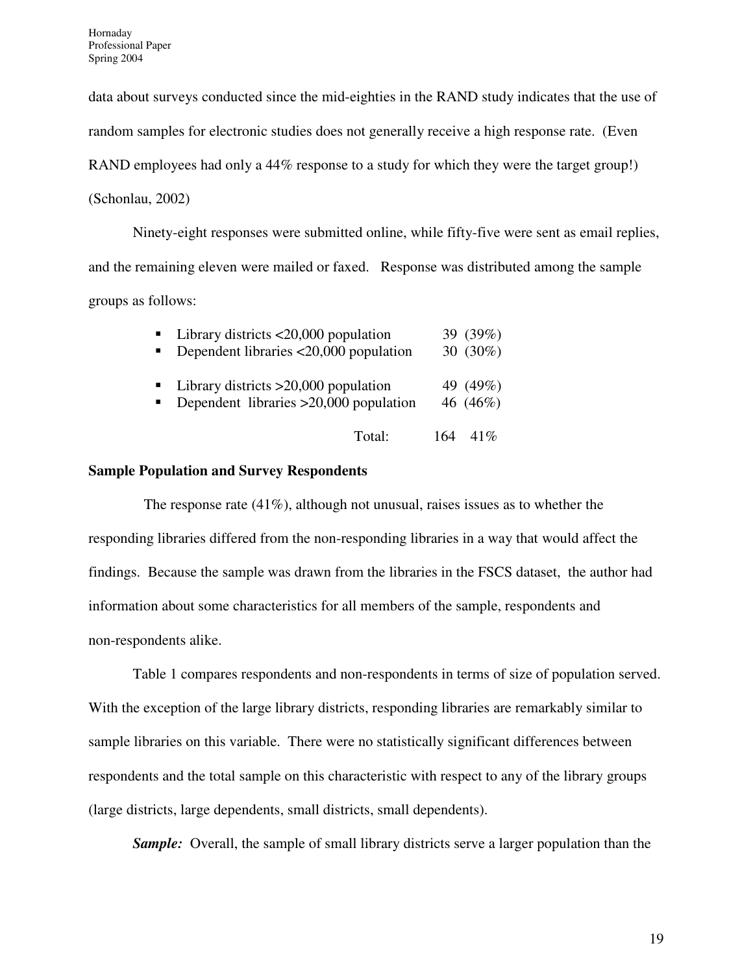data about surveys conducted since the mid-eighties in the RAND study indicates that the use of random samples for electronic studies does not generally receive a high response rate. (Even RAND employees had only a 44% response to a study for which they were the target group!) (Schonlau, 2002)

Ninety-eight responses were submitted online, while fifty-five were sent as email replies, and the remaining eleven were mailed or faxed. Response was distributed among the sample groups as follows:

| $\blacksquare$<br>π. | Library districts $\langle 20,000 \rangle$ population<br>Dependent libraries <20,000 population | 39 (39%)<br>30 $(30\%)$ |
|----------------------|-------------------------------------------------------------------------------------------------|-------------------------|
| $\blacksquare$       | $\blacksquare$ Library districts >20,000 population<br>Dependent libraries $>20,000$ population | 49 (49%)<br>46 (46%)    |
|                      | Total:                                                                                          | $164 \quad 41\%$        |

#### **Sample Population and Survey Respondents**

The response rate (41%), although not unusual, raises issues as to whether the responding libraries differed from the non-responding libraries in a way that would affect the findings. Because the sample was drawn from the libraries in the FSCS dataset, the author had information about some characteristics for all members of the sample, respondents and non-respondents alike.

Table 1 compares respondents and non-respondents in terms of size of population served. With the exception of the large library districts, responding libraries are remarkably similar to sample libraries on this variable. There were no statistically significant differences between respondents and the total sample on this characteristic with respect to any of the library groups (large districts, large dependents, small districts, small dependents).

*Sample:* Overall, the sample of small library districts serve a larger population than the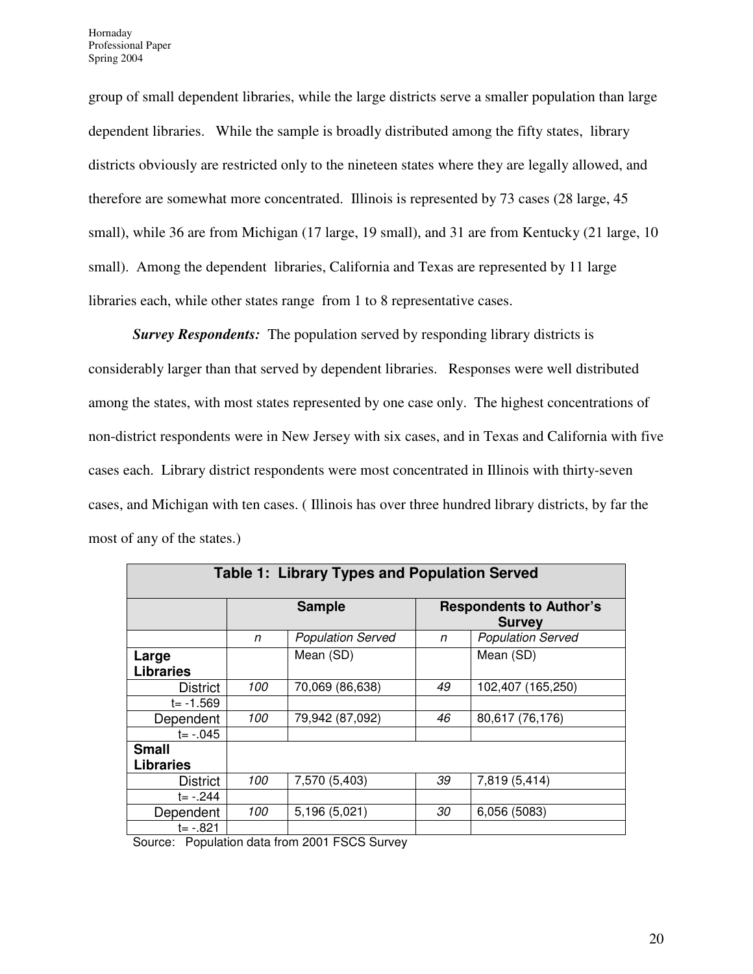group of small dependent libraries, while the large districts serve a smaller population than large dependent libraries. While the sample is broadly distributed among the fifty states, library districts obviously are restricted only to the nineteen states where they are legally allowed, and therefore are somewhat more concentrated. Illinois is represented by 73 cases (28 large, 45 small), while 36 are from Michigan (17 large, 19 small), and 31 are from Kentucky (21 large, 10 small). Among the dependent libraries, California and Texas are represented by 11 large libraries each, while other states range from 1 to 8 representative cases.

*Survey Respondents:* The population served by responding library districts is considerably larger than that served by dependent libraries. Responses were well distributed among the states, with most states represented by one case only. The highest concentrations of non-district respondents were in New Jersey with six cases, and in Texas and California with five cases each. Library district respondents were most concentrated in Illinois with thirty-seven cases, and Michigan with ten cases. ( Illinois has over three hundred library districts, by far the most of any of the states.)

| <b>Table 1: Library Types and Population Served</b> |              |                          |                                                 |                          |  |  |  |  |  |  |
|-----------------------------------------------------|--------------|--------------------------|-------------------------------------------------|--------------------------|--|--|--|--|--|--|
|                                                     |              | <b>Sample</b>            | <b>Respondents to Author's</b><br><b>Survey</b> |                          |  |  |  |  |  |  |
|                                                     | $\mathsf{n}$ | <b>Population Served</b> | n                                               | <b>Population Served</b> |  |  |  |  |  |  |
| Large<br><b>Libraries</b>                           |              | Mean (SD)                |                                                 | Mean (SD)                |  |  |  |  |  |  |
| <b>District</b>                                     | 100          | 70,069 (86,638)          | 49                                              | 102,407 (165,250)        |  |  |  |  |  |  |
| $t = -1.569$                                        |              |                          |                                                 |                          |  |  |  |  |  |  |
| Dependent                                           | 100          | 79,942 (87,092)          | 46                                              | 80,617 (76,176)          |  |  |  |  |  |  |
| $t = -0.045$                                        |              |                          |                                                 |                          |  |  |  |  |  |  |
| <b>Small</b><br><b>Libraries</b>                    |              |                          |                                                 |                          |  |  |  |  |  |  |
| <b>District</b>                                     | 100          | 7,570 (5,403)            | 39                                              | 7,819 (5,414)            |  |  |  |  |  |  |
| $t = -244$                                          |              |                          |                                                 |                          |  |  |  |  |  |  |
| Dependent                                           | 100          | 5,196 (5,021)            | 30                                              | 6,056 (5083)             |  |  |  |  |  |  |
| t= -.821                                            |              |                          |                                                 |                          |  |  |  |  |  |  |

Source: Population data from 2001 FSCS Survey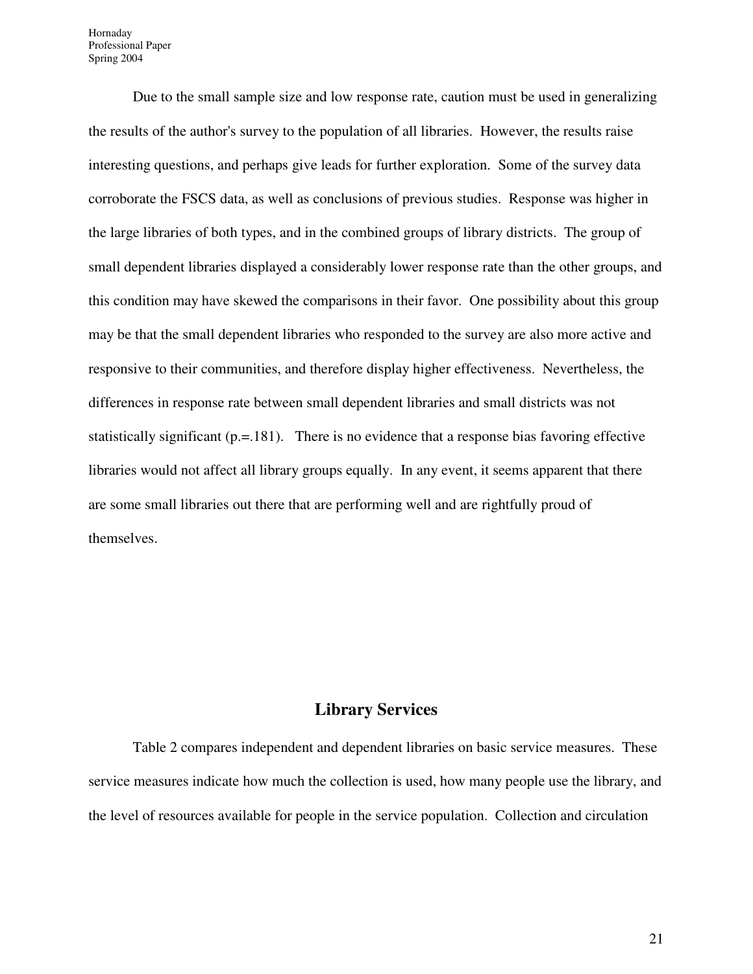Hornaday Professional Paper Spring 2004

Due to the small sample size and low response rate, caution must be used in generalizing the results of the author's survey to the population of all libraries. However, the results raise interesting questions, and perhaps give leads for further exploration. Some of the survey data corroborate the FSCS data, as well as conclusions of previous studies. Response was higher in the large libraries of both types, and in the combined groups of library districts. The group of small dependent libraries displayed a considerably lower response rate than the other groups, and this condition may have skewed the comparisons in their favor. One possibility about this group may be that the small dependent libraries who responded to the survey are also more active and responsive to their communities, and therefore display higher effectiveness. Nevertheless, the differences in response rate between small dependent libraries and small districts was not statistically significant (p.=.181). There is no evidence that a response bias favoring effective libraries would not affect all library groups equally. In any event, it seems apparent that there are some small libraries out there that are performing well and are rightfully proud of themselves.

#### **Library Services**

Table 2 compares independent and dependent libraries on basic service measures. These service measures indicate how much the collection is used, how many people use the library, and the level of resources available for people in the service population. Collection and circulation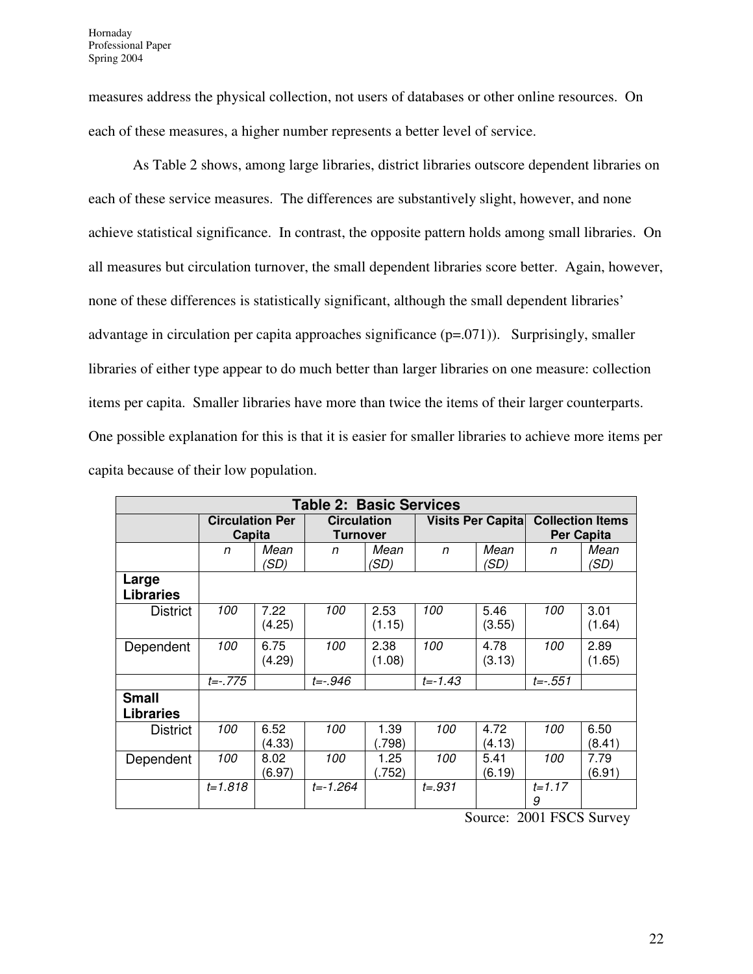measures address the physical collection, not users of databases or other online resources. On each of these measures, a higher number represents a better level of service.

 As Table 2 shows, among large libraries, district libraries outscore dependent libraries on each of these service measures. The differences are substantively slight, however, and none achieve statistical significance. In contrast, the opposite pattern holds among small libraries. On all measures but circulation turnover, the small dependent libraries score better. Again, however, none of these differences is statistically significant, although the small dependent libraries' advantage in circulation per capita approaches significance (p=.071)). Surprisingly, smaller libraries of either type appear to do much better than larger libraries on one measure: collection items per capita. Smaller libraries have more than twice the items of their larger counterparts. One possible explanation for this is that it is easier for smaller libraries to achieve more items per capita because of their low population.

| <b>Table 2: Basic Services</b>   |                                  |                |                                       |                |             |                           |                 |                                       |  |  |
|----------------------------------|----------------------------------|----------------|---------------------------------------|----------------|-------------|---------------------------|-----------------|---------------------------------------|--|--|
|                                  | <b>Circulation Per</b><br>Capita |                | <b>Circulation</b><br><b>Turnover</b> |                |             | <b>Visits Per Capital</b> |                 | <b>Collection Items</b><br>Per Capita |  |  |
|                                  | n                                | Mean<br>(SD)   | n                                     | Mean<br>(SD)   | n           | Mean<br>(SD)              | n               | Mean<br>(SD)                          |  |  |
| Large<br><b>Libraries</b>        |                                  |                |                                       |                |             |                           |                 |                                       |  |  |
| <b>District</b>                  | 100                              | 7.22<br>(4.25) | 100                                   | 2.53<br>(1.15) | 100         | 5.46<br>(3.55)            | 100             | 3.01<br>(1.64)                        |  |  |
| Dependent                        | 100                              | 6.75<br>(4.29) | 100                                   | 2.38<br>(1.08) | 100         | 4.78<br>(3.13)            | 100             | 2.89<br>(1.65)                        |  |  |
|                                  | $t = -0.775$                     |                | $t = -0.946$                          |                | $t = -1.43$ |                           | $t = -0.551$    |                                       |  |  |
| <b>Small</b><br><b>Libraries</b> |                                  |                |                                       |                |             |                           |                 |                                       |  |  |
| <b>District</b>                  | 100                              | 6.52<br>(4.33) | 100                                   | 1.39<br>.798)  | 100         | 4.72<br>(4.13)            | 100             | 6.50<br>(8.41)                        |  |  |
| Dependent                        | 100                              | 8.02<br>(6.97) | 100                                   | 1.25<br>.752)  | 100         | 5.41<br>(6.19)            | 100             | 7.79<br>(6.91)                        |  |  |
|                                  | $t = 1.818$                      |                | $t = -1.264$                          |                | $t = .931$  |                           | $t = 1.17$<br>9 |                                       |  |  |

Source: 2001 FSCS Survey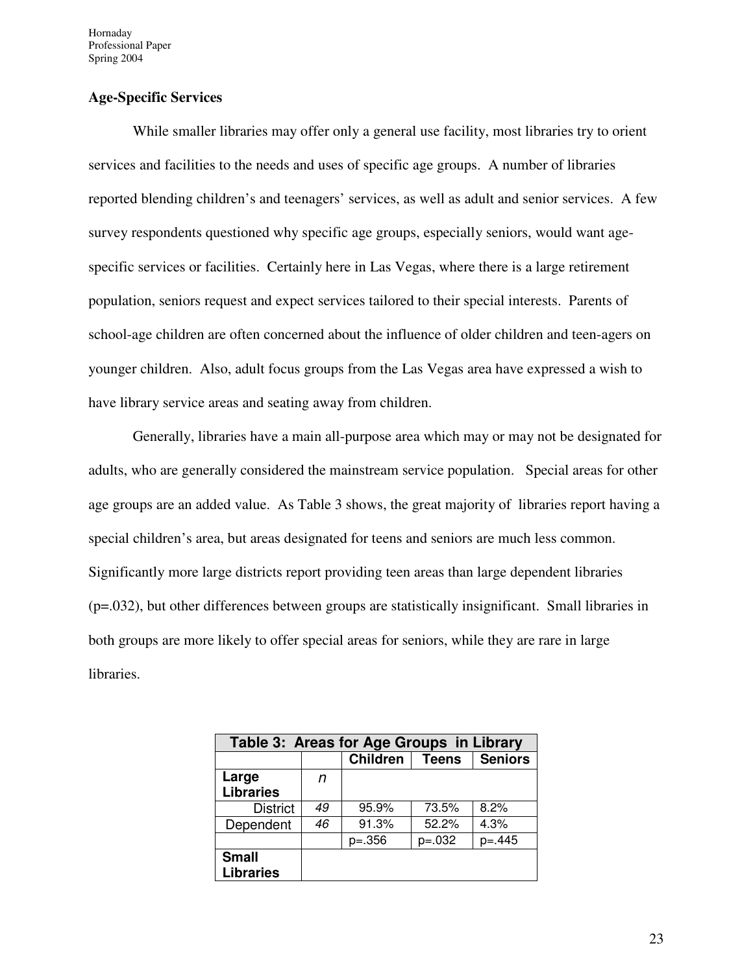Hornaday Professional Paper Spring 2004

#### **Age-Specific Services**

While smaller libraries may offer only a general use facility, most libraries try to orient services and facilities to the needs and uses of specific age groups. A number of libraries reported blending children's and teenagers' services, as well as adult and senior services. A few survey respondents questioned why specific age groups, especially seniors, would want agespecific services or facilities. Certainly here in Las Vegas, where there is a large retirement population, seniors request and expect services tailored to their special interests. Parents of school-age children are often concerned about the influence of older children and teen-agers on younger children. Also, adult focus groups from the Las Vegas area have expressed a wish to have library service areas and seating away from children.

Generally, libraries have a main all-purpose area which may or may not be designated for adults, who are generally considered the mainstream service population. Special areas for other age groups are an added value. As Table 3 shows, the great majority of libraries report having a special children's area, but areas designated for teens and seniors are much less common. Significantly more large districts report providing teen areas than large dependent libraries (p=.032), but other differences between groups are statistically insignificant. Small libraries in both groups are more likely to offer special areas for seniors, while they are rare in large libraries.

| Table 3: Areas for Age Groups in Library |    |                 |              |                |  |  |  |  |  |
|------------------------------------------|----|-----------------|--------------|----------------|--|--|--|--|--|
|                                          |    | <b>Children</b> | <b>Teens</b> | <b>Seniors</b> |  |  |  |  |  |
| Large                                    | n  |                 |              |                |  |  |  |  |  |
| <b>Libraries</b>                         |    |                 |              |                |  |  |  |  |  |
| <b>District</b>                          | 49 | 95.9%           | 73.5%        | 8.2%           |  |  |  |  |  |
| Dependent                                | 46 | 91.3%           | 52.2%        | 4.3%           |  |  |  |  |  |
|                                          |    | $p=.356$        | $p=.032$     | $p = 445$      |  |  |  |  |  |
| <b>Small</b><br><b>Libraries</b>         |    |                 |              |                |  |  |  |  |  |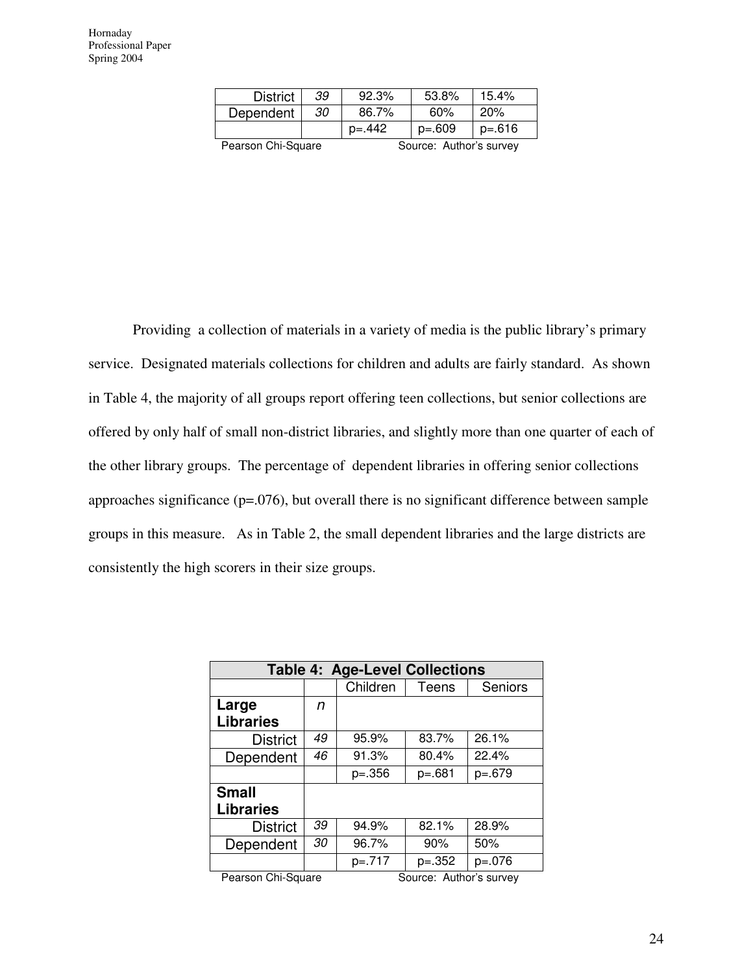| <b>District</b>    | 39 | 92.3%     | 53.8%                   | 15.4%    |  |  |
|--------------------|----|-----------|-------------------------|----------|--|--|
| Dependent          | 30 | 86.7%     | 60%                     | 20%      |  |  |
|                    |    | $p = 442$ | $p=.609$                | $p=.616$ |  |  |
| Pearson Chi-Square |    |           | Source: Author's survey |          |  |  |

Providing a collection of materials in a variety of media is the public library's primary service. Designated materials collections for children and adults are fairly standard. As shown in Table 4, the majority of all groups report offering teen collections, but senior collections are offered by only half of small non-district libraries, and slightly more than one quarter of each of the other library groups. The percentage of dependent libraries in offering senior collections approaches significance (p=.076), but overall there is no significant difference between sample groups in this measure. As in Table 2, the small dependent libraries and the large districts are consistently the high scorers in their size groups.

|                  | <b>Table 4: Age-Level Collections</b> |          |              |                |  |  |  |  |  |  |
|------------------|---------------------------------------|----------|--------------|----------------|--|--|--|--|--|--|
|                  |                                       | Children | <b>Teens</b> | <b>Seniors</b> |  |  |  |  |  |  |
| Large            | n                                     |          |              |                |  |  |  |  |  |  |
| <b>Libraries</b> |                                       |          |              |                |  |  |  |  |  |  |
| <b>District</b>  | 49                                    | 95.9%    | 83.7%        | 26.1%          |  |  |  |  |  |  |
| Dependent        | 46                                    |          | 80.4%        | 22.4%          |  |  |  |  |  |  |
|                  |                                       | $p=.356$ | $p=.681$     | $p=.679$       |  |  |  |  |  |  |
| <b>Small</b>     |                                       |          |              |                |  |  |  |  |  |  |
| <b>Libraries</b> |                                       |          |              |                |  |  |  |  |  |  |
| <b>District</b>  | 39                                    | 94.9%    | 82.1%        | 28.9%          |  |  |  |  |  |  |
| Dependent        | 30                                    | 96.7%    | 90%          | 50%            |  |  |  |  |  |  |
|                  |                                       | p=.717   | $p=.352$     | $p=.076$       |  |  |  |  |  |  |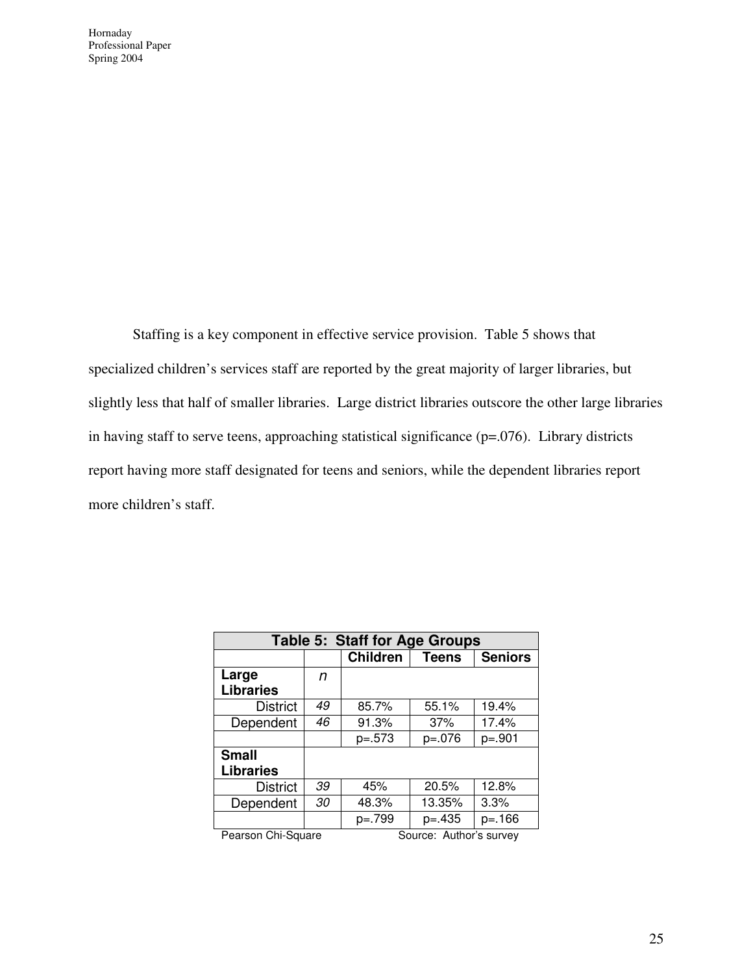Staffing is a key component in effective service provision. Table 5 shows that specialized children's services staff are reported by the great majority of larger libraries, but slightly less that half of smaller libraries. Large district libraries outscore the other large libraries in having staff to serve teens, approaching statistical significance (p=.076). Library districts report having more staff designated for teens and seniors, while the dependent libraries report more children's staff.

| <b>Table 5: Staff for Age Groups</b>                   |    |                 |              |                |  |  |  |  |  |  |
|--------------------------------------------------------|----|-----------------|--------------|----------------|--|--|--|--|--|--|
|                                                        |    | <b>Children</b> | <b>Teens</b> | <b>Seniors</b> |  |  |  |  |  |  |
| Large                                                  | n  |                 |              |                |  |  |  |  |  |  |
| <b>Libraries</b>                                       |    |                 |              |                |  |  |  |  |  |  |
| <b>District</b>                                        | 49 | 85.7%           | 55.1%        | 19.4%          |  |  |  |  |  |  |
| Dependent                                              | 46 | 91.3%           | 37%          | 17.4%          |  |  |  |  |  |  |
|                                                        |    | $p=.573$        | $p=.076$     | $p=.901$       |  |  |  |  |  |  |
| <b>Small</b>                                           |    |                 |              |                |  |  |  |  |  |  |
| <b>Libraries</b>                                       |    |                 |              |                |  |  |  |  |  |  |
| <b>District</b>                                        | 39 | 45%             | 20.5%        | 12.8%          |  |  |  |  |  |  |
| Dependent                                              | 30 | 48.3%           | 13.35%       | 3.3%           |  |  |  |  |  |  |
|                                                        |    | p=.799          | $p = 435$    | p=.166         |  |  |  |  |  |  |
| $O = \frac{1}{2}$<br>$D - 1 = 1$<br>- - - -<br>------- |    |                 |              |                |  |  |  |  |  |  |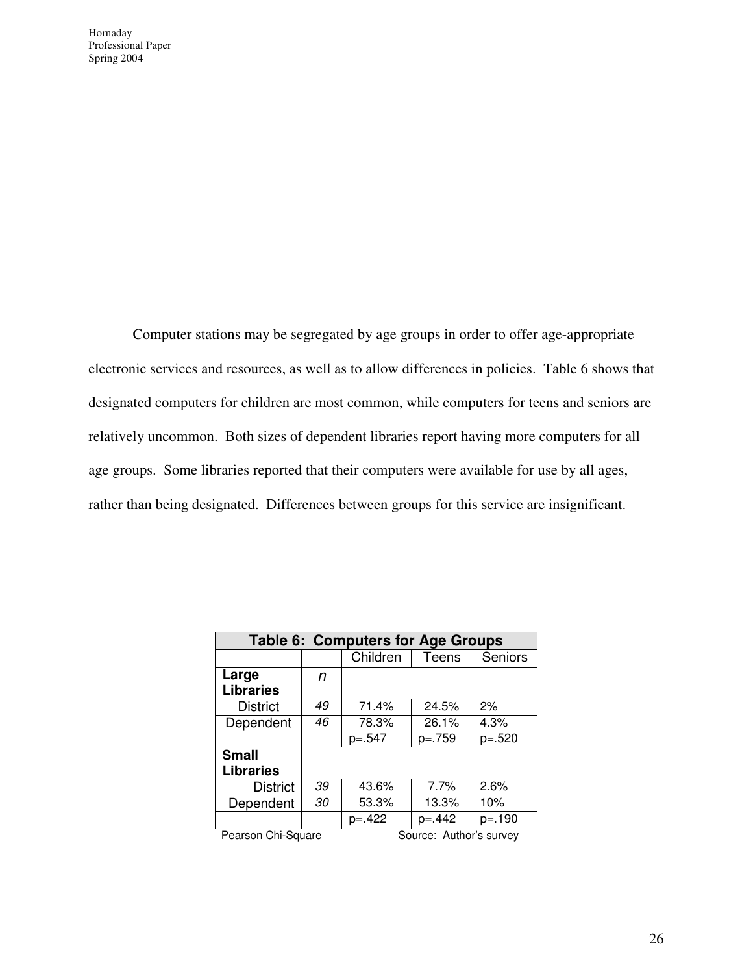Computer stations may be segregated by age groups in order to offer age-appropriate electronic services and resources, as well as to allow differences in policies. Table 6 shows that designated computers for children are most common, while computers for teens and seniors are relatively uncommon. Both sizes of dependent libraries report having more computers for all age groups. Some libraries reported that their computers were available for use by all ages, rather than being designated. Differences between groups for this service are insignificant.

| Table 6: Computers for Age Groups |          |              |                |  |  |  |  |  |  |
|-----------------------------------|----------|--------------|----------------|--|--|--|--|--|--|
|                                   | Children | <b>Teens</b> | <b>Seniors</b> |  |  |  |  |  |  |
| n                                 |          |              |                |  |  |  |  |  |  |
|                                   |          |              |                |  |  |  |  |  |  |
| 49                                | 71.4%    | 24.5%        | 2%             |  |  |  |  |  |  |
| 46                                | 78.3%    | 26.1%        | 4.3%           |  |  |  |  |  |  |
|                                   | $p=.547$ | $p=.759$     | $p=.520$       |  |  |  |  |  |  |
|                                   |          |              |                |  |  |  |  |  |  |
|                                   |          |              |                |  |  |  |  |  |  |
| 39                                | 43.6%    | 7.7%         | 2.6%           |  |  |  |  |  |  |
| 30                                | 53.3%    | 13.3%        | 10%            |  |  |  |  |  |  |
|                                   | $p=.422$ | $p = 442$    | $p = 190$      |  |  |  |  |  |  |
|                                   |          |              |                |  |  |  |  |  |  |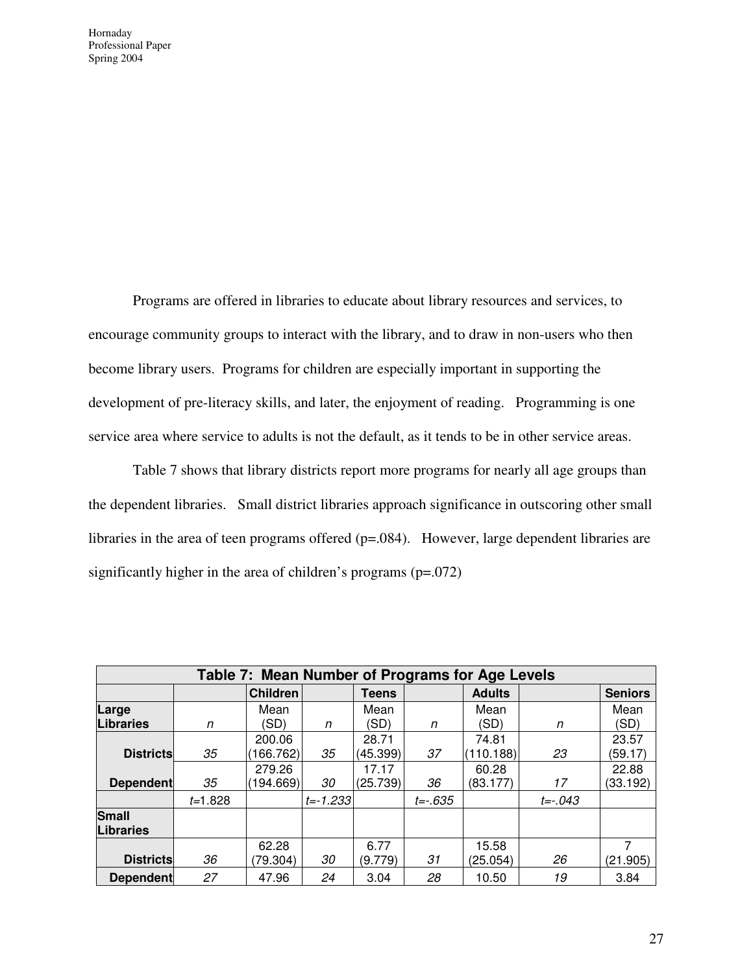Programs are offered in libraries to educate about library resources and services, to encourage community groups to interact with the library, and to draw in non-users who then become library users. Programs for children are especially important in supporting the development of pre-literacy skills, and later, the enjoyment of reading. Programming is one service area where service to adults is not the default, as it tends to be in other service areas.

 Table 7 shows that library districts report more programs for nearly all age groups than the dependent libraries. Small district libraries approach significance in outscoring other small libraries in the area of teen programs offered (p=.084). However, large dependent libraries are significantly higher in the area of children's programs (p=.072)

|                  | Table 7: Mean Number of Programs for Age Levels |                 |              |              |              |               |              |                |  |  |  |
|------------------|-------------------------------------------------|-----------------|--------------|--------------|--------------|---------------|--------------|----------------|--|--|--|
|                  |                                                 | <b>Children</b> |              | <b>Teens</b> |              | <b>Adults</b> |              | <b>Seniors</b> |  |  |  |
| Large            |                                                 | Mean            |              | Mean         |              | Mean          |              | Mean           |  |  |  |
| <b>Libraries</b> | n                                               | (SD)            | n            | (SD)         | n            | (SD)          | n            | (SD)           |  |  |  |
|                  |                                                 | 200.06          |              | 28.71        |              | 74.81         |              | 23.57          |  |  |  |
| <b>Districts</b> | 35                                              | (166.762)       | 35           | (45.399)     | 37           | (110.188)     | 23           | (59.17)        |  |  |  |
|                  |                                                 | 279.26          |              | 17.17        |              | 60.28         |              | 22.88          |  |  |  |
| <b>Dependent</b> | 35                                              | (194.669)       | 30           | (25.739)     | 36           | (83.177)      | 17           | (33.192)       |  |  |  |
|                  | $t = 1.828$                                     |                 | $t = -1.233$ |              | $t = -0.635$ |               | $t = -0.043$ |                |  |  |  |
| <b>Small</b>     |                                                 |                 |              |              |              |               |              |                |  |  |  |
| <b>Libraries</b> |                                                 |                 |              |              |              |               |              |                |  |  |  |
|                  |                                                 | 62.28           |              | 6.77         |              | 15.58         |              | 7              |  |  |  |
| <b>Districts</b> | 36                                              | (79.304)        | 30           | (9.779)      | 31           | (25.054)      | 26           | (21.905)       |  |  |  |
| <b>Dependent</b> | 27                                              | 47.96           | 24           | 3.04         | 28           | 10.50         | 19           | 3.84           |  |  |  |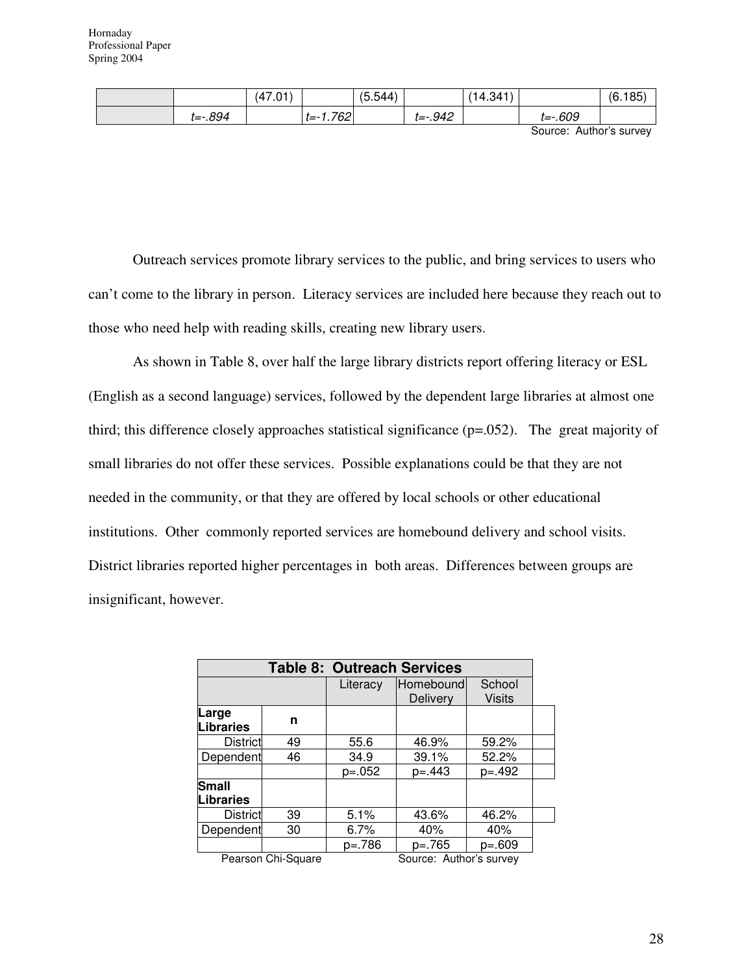|         | (47.01) |                | (5.544) |              | (14.341) |             | (6.185) |
|---------|---------|----------------|---------|--------------|----------|-------------|---------|
| t=-.894 |         | $ t = -1.762 $ |         | $t = -0.942$ |          | $t = -.609$ |         |

Source: Author's survey

Outreach services promote library services to the public, and bring services to users who can't come to the library in person. Literacy services are included here because they reach out to those who need help with reading skills, creating new library users.

As shown in Table 8, over half the large library districts report offering literacy or ESL (English as a second language) services, followed by the dependent large libraries at almost one third; this difference closely approaches statistical significance (p=.052). The great majority of small libraries do not offer these services. Possible explanations could be that they are not needed in the community, or that they are offered by local schools or other educational institutions. Other commonly reported services are homebound delivery and school visits. District libraries reported higher percentages in both areas. Differences between groups are insignificant, however.

| <b>Table 8: Outreach Services</b> |                    |          |                              |                         |  |
|-----------------------------------|--------------------|----------|------------------------------|-------------------------|--|
|                                   |                    | Literacy | Homebound<br><b>Delivery</b> | School<br><b>Visits</b> |  |
| Large<br>Libraries                | n                  |          |                              |                         |  |
| <b>District</b>                   | 49                 | 55.6     | 46.9%                        | 59.2%                   |  |
| Dependent                         | 46                 | 34.9     | 39.1%                        | 52.2%                   |  |
|                                   |                    | $p=.052$ | $p = 443$                    | $p = 492$               |  |
| Small<br>Libraries                |                    |          |                              |                         |  |
| <b>District</b>                   | 39                 | 5.1%     | 43.6%                        | 46.2%                   |  |
| Dependent                         | 30                 | 6.7%     | 40%                          | 40%                     |  |
|                                   |                    | p=.786   | $p=.765$                     | $p=.609$                |  |
|                                   | Pearson Chi-Square |          | Source: Author's survey      |                         |  |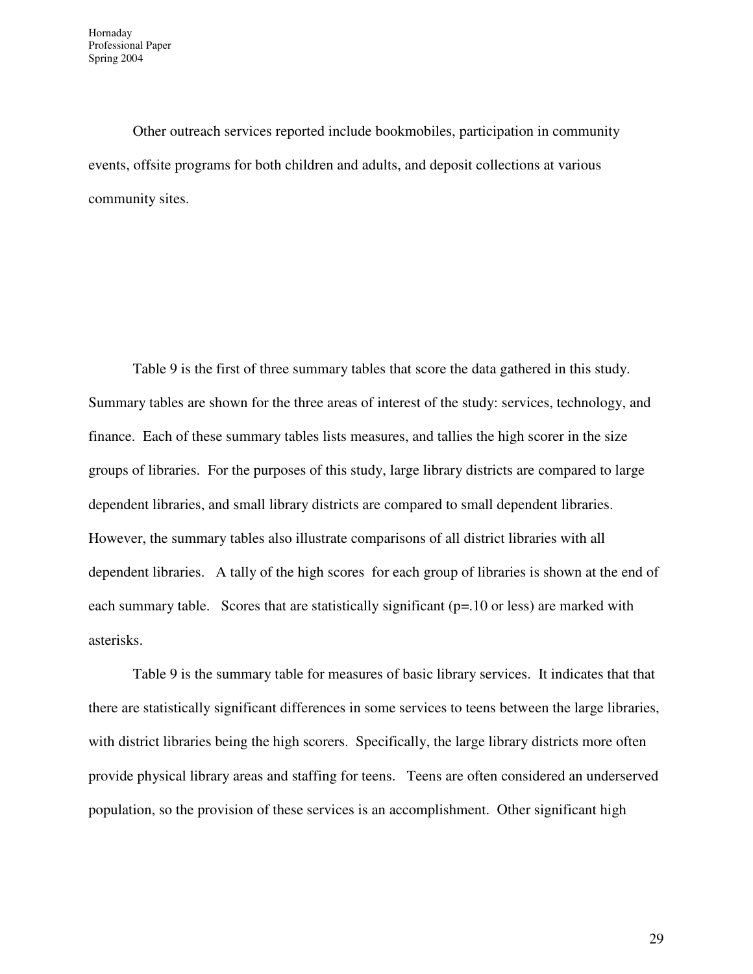Other outreach services reported include bookmobiles, participation in community events, offsite programs for both children and adults, and deposit collections at various community sites.

Table 9 is the first of three summary tables that score the data gathered in this study. Summary tables are shown for the three areas of interest of the study: services, technology, and finance. Each of these summary tables lists measures, and tallies the high scorer in the size groups of libraries. For the purposes of this study, large library districts are compared to large dependent libraries, and small library districts are compared to small dependent libraries. However, the summary tables also illustrate comparisons of all district libraries with all dependent libraries. A tally of the high scores for each group of libraries is shown at the end of each summary table. Scores that are statistically significant (p=.10 or less) are marked with asterisks.

Table 9 is the summary table for measures of basic library services. It indicates that that there are statistically significant differences in some services to teens between the large libraries, with district libraries being the high scorers. Specifically, the large library districts more often provide physical library areas and staffing for teens. Teens are often considered an underserved population, so the provision of these services is an accomplishment. Other significant high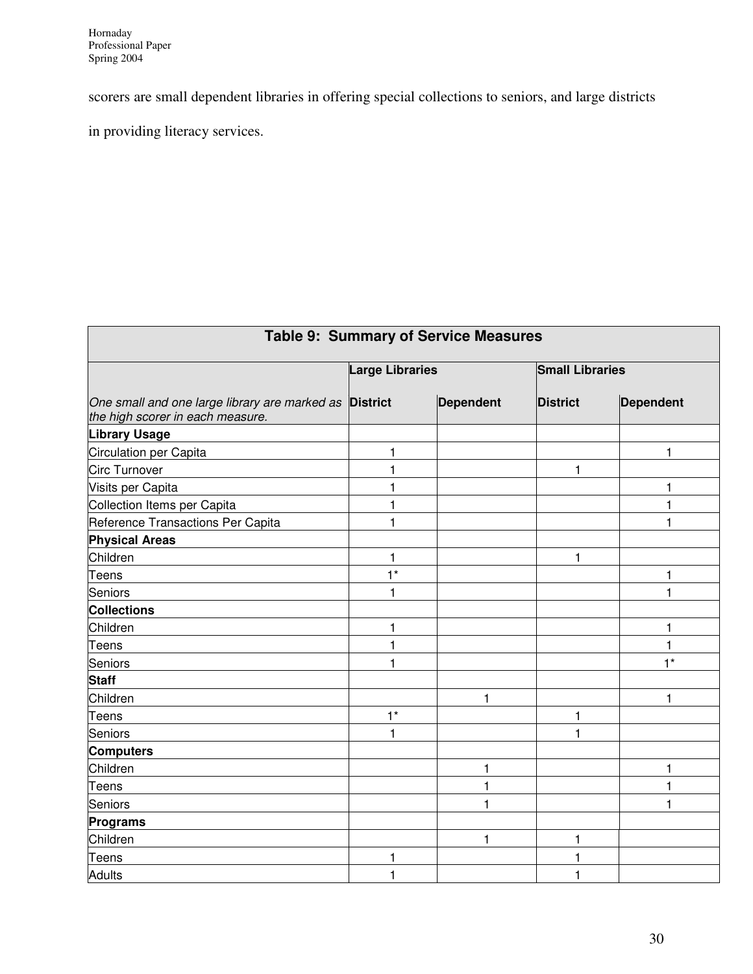scorers are small dependent libraries in offering special collections to seniors, and large districts

in providing literacy services.

| <b>Table 9: Summary of Service Measures</b>                                                       |                        |                  |                        |           |  |  |
|---------------------------------------------------------------------------------------------------|------------------------|------------------|------------------------|-----------|--|--|
|                                                                                                   | <b>Large Libraries</b> |                  | <b>Small Libraries</b> |           |  |  |
| One small and one large library are marked as <b>District</b><br>the high scorer in each measure. |                        | <b>Dependent</b> | <b>District</b>        | Dependent |  |  |
| <b>Library Usage</b>                                                                              |                        |                  |                        |           |  |  |
| Circulation per Capita                                                                            | $\mathbf{1}$           |                  |                        | 1         |  |  |
| <b>Circ Turnover</b>                                                                              | 1                      |                  | 1                      |           |  |  |
| Visits per Capita                                                                                 | $\mathbf{1}$           |                  |                        | 1         |  |  |
| Collection Items per Capita                                                                       | $\mathbf{1}$           |                  |                        | 1         |  |  |
| Reference Transactions Per Capita                                                                 | 1                      |                  |                        | 1         |  |  |
| <b>Physical Areas</b>                                                                             |                        |                  |                        |           |  |  |
| Children                                                                                          | $\mathbf{1}$           |                  | 1                      |           |  |  |
| <b>Teens</b>                                                                                      | $1*$                   |                  |                        | 1         |  |  |
| <b>Seniors</b>                                                                                    | $\mathbf{1}$           |                  |                        | 1         |  |  |
| <b>Collections</b>                                                                                |                        |                  |                        |           |  |  |
| Children                                                                                          | $\mathbf{1}$           |                  |                        | 1         |  |  |
| Teens                                                                                             | $\mathbf{1}$           |                  |                        | 1         |  |  |
| <b>Seniors</b>                                                                                    | $\mathbf{1}$           |                  |                        | $1*$      |  |  |
| <b>Staff</b>                                                                                      |                        |                  |                        |           |  |  |
| Children                                                                                          |                        | $\mathbf{1}$     |                        | 1         |  |  |
| Teens                                                                                             | $1*$                   |                  | 1                      |           |  |  |
| <b>Seniors</b>                                                                                    | $\mathbf{1}$           |                  | 1                      |           |  |  |
| <b>Computers</b>                                                                                  |                        |                  |                        |           |  |  |
| Children                                                                                          |                        | 1                |                        | 1         |  |  |
| Teens                                                                                             |                        | 1                |                        | 1         |  |  |
| <b>Seniors</b>                                                                                    |                        | 1                |                        | 1         |  |  |
| Programs                                                                                          |                        |                  |                        |           |  |  |
| Children                                                                                          |                        | 1                | 1                      |           |  |  |
| Teens                                                                                             | 1                      |                  | 1                      |           |  |  |
| Adults                                                                                            | 1                      |                  | 1                      |           |  |  |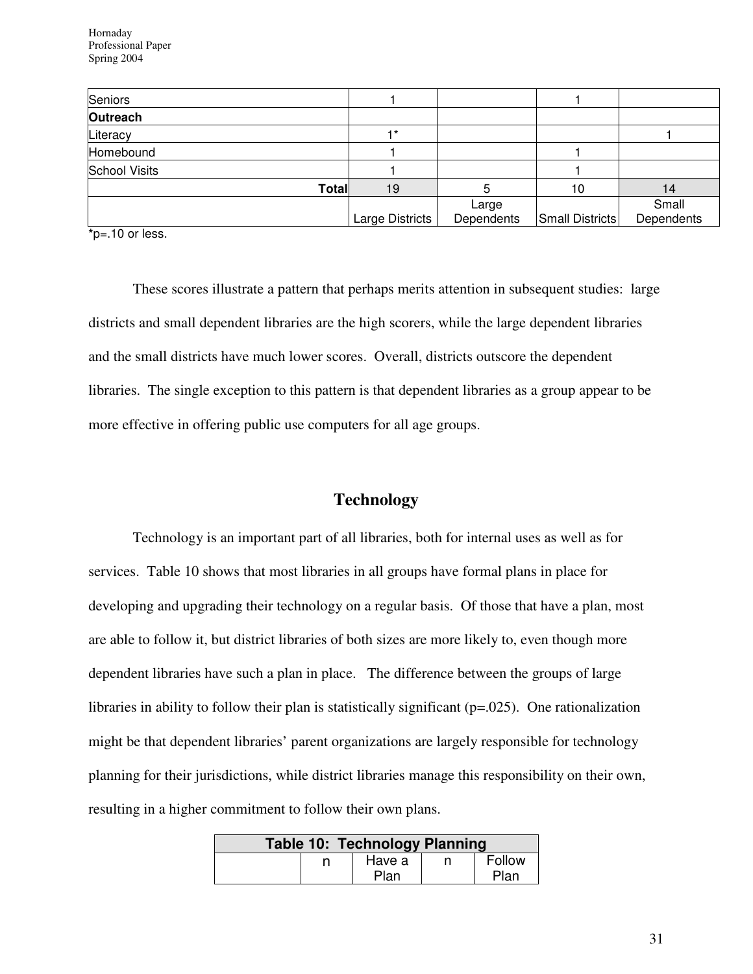| Seniors              |                 |            |                 |            |
|----------------------|-----------------|------------|-----------------|------------|
| Outreach             |                 |            |                 |            |
| Literacy             | $+*$            |            |                 |            |
| Homebound            |                 |            |                 |            |
| <b>School Visits</b> |                 |            |                 |            |
| Total                | 19              |            | 10              | 14         |
|                      |                 | Large      |                 | Small      |
| .                    | Large Districts | Dependents | Small Districts | Dependents |

**\***p=.10 or less.

 These scores illustrate a pattern that perhaps merits attention in subsequent studies: large districts and small dependent libraries are the high scorers, while the large dependent libraries and the small districts have much lower scores. Overall, districts outscore the dependent libraries. The single exception to this pattern is that dependent libraries as a group appear to be more effective in offering public use computers for all age groups.

#### **Technology**

Technology is an important part of all libraries, both for internal uses as well as for services. Table 10 shows that most libraries in all groups have formal plans in place for developing and upgrading their technology on a regular basis. Of those that have a plan, most are able to follow it, but district libraries of both sizes are more likely to, even though more dependent libraries have such a plan in place. The difference between the groups of large libraries in ability to follow their plan is statistically significant (p=.025). One rationalization might be that dependent libraries' parent organizations are largely responsible for technology planning for their jurisdictions, while district libraries manage this responsibility on their own, resulting in a higher commitment to follow their own plans.

|  | <b>Table 10: Technology Planning</b> |  |        |
|--|--------------------------------------|--|--------|
|  | Have a                               |  | Follow |
|  | Plan                                 |  | Plan   |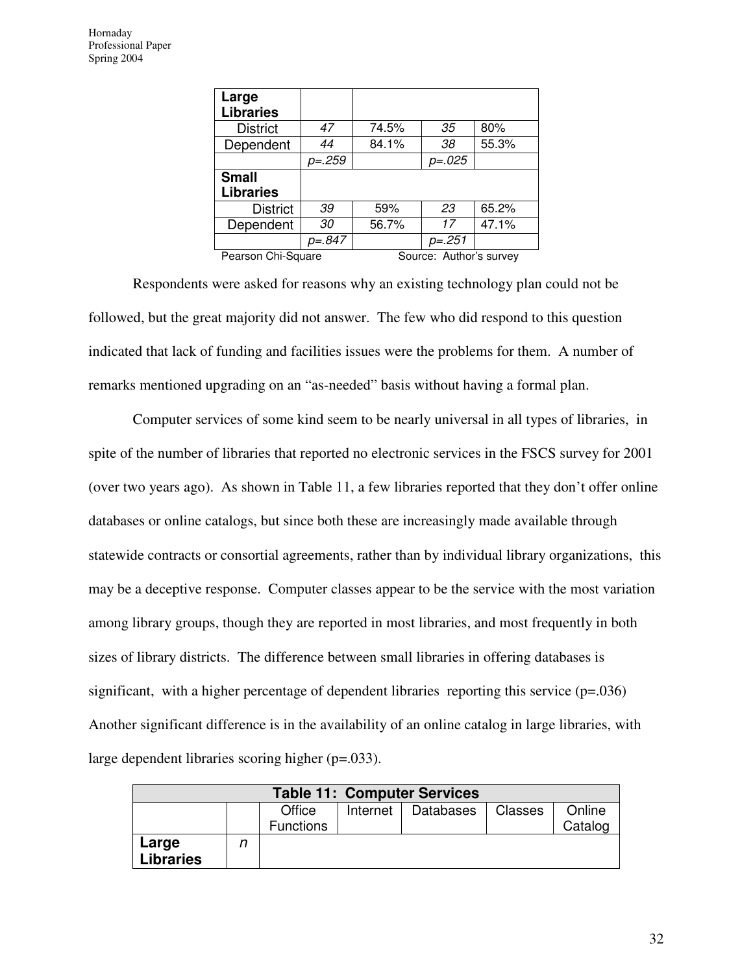| Large<br><b>Libraries</b> |               |       |                         |       |
|---------------------------|---------------|-------|-------------------------|-------|
| <b>District</b>           | 47            | 74.5% | 35                      | 80%   |
| Dependent                 | 44            | 84.1% | 38                      | 55.3% |
|                           | <i>p=.259</i> |       | <i>p=.025</i>           |       |
| <b>Small</b>              |               |       |                         |       |
| <b>Libraries</b>          |               |       |                         |       |
| <b>District</b>           | 39            | 59%   | 23                      | 65.2% |
| Dependent                 | 30            | 56.7% | 17                      | 47.1% |
|                           | p=.847        |       | p=.251                  |       |
| Pearson Chi-Square        |               |       | Source: Author's survey |       |

Respondents were asked for reasons why an existing technology plan could not be followed, but the great majority did not answer. The few who did respond to this question indicated that lack of funding and facilities issues were the problems for them. A number of remarks mentioned upgrading on an "as-needed" basis without having a formal plan.

Computer services of some kind seem to be nearly universal in all types of libraries, in spite of the number of libraries that reported no electronic services in the FSCS survey for 2001 (over two years ago). As shown in Table 11, a few libraries reported that they don't offer online databases or online catalogs, but since both these are increasingly made available through statewide contracts or consortial agreements, rather than by individual library organizations, this may be a deceptive response. Computer classes appear to be the service with the most variation among library groups, though they are reported in most libraries, and most frequently in both sizes of library districts. The difference between small libraries in offering databases is significant, with a higher percentage of dependent libraries reporting this service (p=.036) Another significant difference is in the availability of an online catalog in large libraries, with large dependent libraries scoring higher (p=.033).

| <b>Table 11: Computer Services</b> |  |                            |          |           |         |                   |  |
|------------------------------------|--|----------------------------|----------|-----------|---------|-------------------|--|
|                                    |  | Office<br><b>Functions</b> | Internet | Databases | Classes | Online<br>Catalog |  |
| Large<br><b>Libraries</b>          |  |                            |          |           |         |                   |  |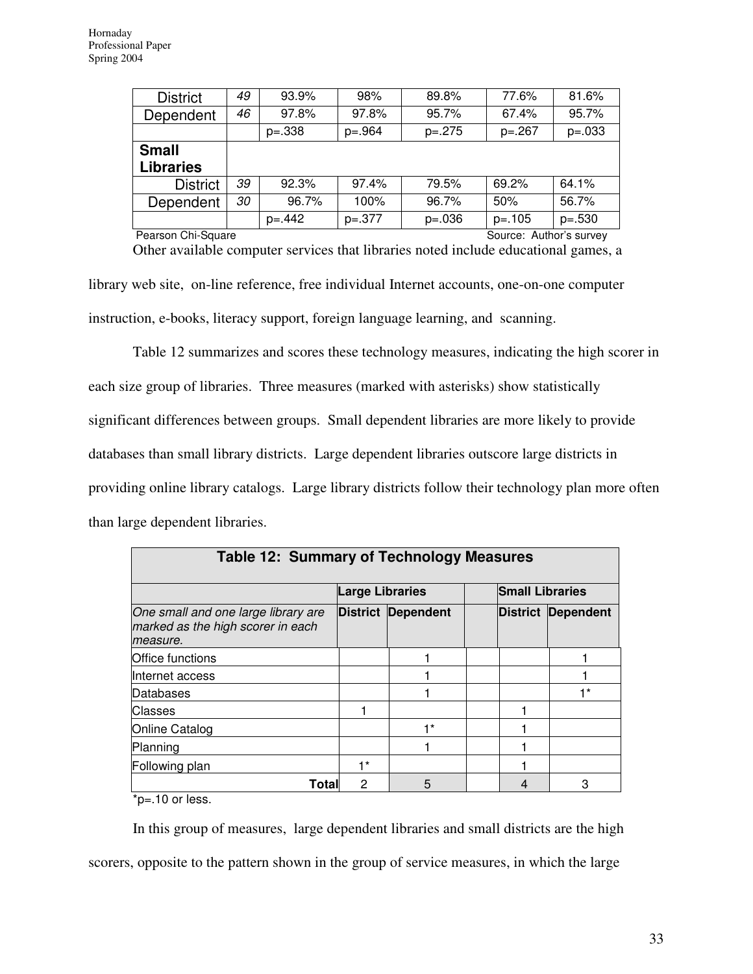| <b>District</b>  | 49 | 93.9%     | 98%      | 89.8%    | 77.6%     | 81.6%    |
|------------------|----|-----------|----------|----------|-----------|----------|
| Dependent        | 46 | 97.8%     | 97.8%    | 95.7%    | 67.4%     | 95.7%    |
|                  |    | $p=.338$  | $p=.964$ | $p=.275$ | $p=.267$  | $p=.033$ |
|                  |    |           |          |          |           |          |
| <b>Small</b>     |    |           |          |          |           |          |
| <b>Libraries</b> |    |           |          |          |           |          |
| <b>District</b>  | 39 | 92.3%     | 97.4%    | 79.5%    | 69.2%     | 64.1%    |
| Dependent        | 30 | 96.7%     | 100%     | 96.7%    | 50%       | 56.7%    |
|                  |    | $p = 442$ | $p=.377$ | $p=.036$ | $p = 105$ | $p=.530$ |

Pearson Chi-Square Source: Author's survey

Other available computer services that libraries noted include educational games, a library web site, on-line reference, free individual Internet accounts, one-on-one computer instruction, e-books, literacy support, foreign language learning, and scanning.

Table 12 summarizes and scores these technology measures, indicating the high scorer in each size group of libraries. Three measures (marked with asterisks) show statistically significant differences between groups. Small dependent libraries are more likely to provide databases than small library districts. Large dependent libraries outscore large districts in providing online library catalogs. Large library districts follow their technology plan more often than large dependent libraries.

| <b>Table 12: Summary of Technology Measures</b>                                      |                        |                           |  |                        |                           |  |  |  |  |
|--------------------------------------------------------------------------------------|------------------------|---------------------------|--|------------------------|---------------------------|--|--|--|--|
|                                                                                      | <b>Large Libraries</b> |                           |  | <b>Small Libraries</b> |                           |  |  |  |  |
| One small and one large library are<br>marked as the high scorer in each<br>measure. |                        | <b>District Dependent</b> |  |                        | <b>District Dependent</b> |  |  |  |  |
| <b>Office functions</b>                                                              |                        |                           |  |                        |                           |  |  |  |  |
| Internet access                                                                      |                        |                           |  |                        |                           |  |  |  |  |
| Databases                                                                            |                        |                           |  |                        | $+*$                      |  |  |  |  |
| <b>Classes</b>                                                                       |                        |                           |  |                        |                           |  |  |  |  |
| Online Catalog                                                                       |                        | ⊣ *                       |  |                        |                           |  |  |  |  |
| Planning                                                                             |                        |                           |  |                        |                           |  |  |  |  |
| Following plan                                                                       | $1*$                   |                           |  |                        |                           |  |  |  |  |
| Total                                                                                | 2                      | 5                         |  |                        | 3                         |  |  |  |  |

\*p=.10 or less.

In this group of measures, large dependent libraries and small districts are the high scorers, opposite to the pattern shown in the group of service measures, in which the large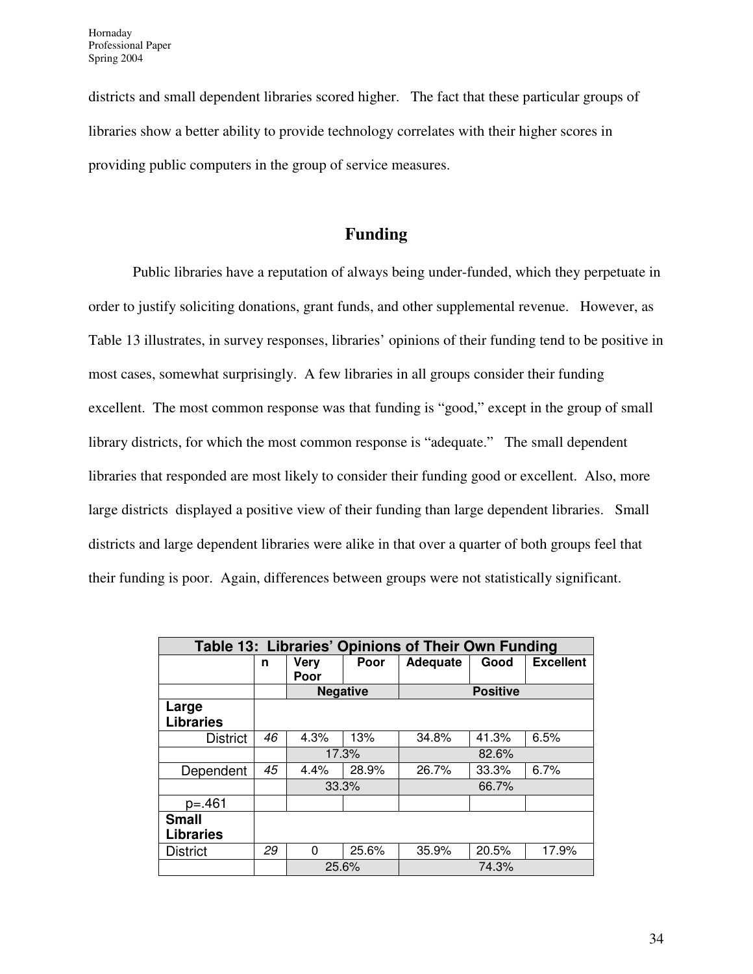districts and small dependent libraries scored higher. The fact that these particular groups of libraries show a better ability to provide technology correlates with their higher scores in providing public computers in the group of service measures.

## **Funding**

Public libraries have a reputation of always being under-funded, which they perpetuate in order to justify soliciting donations, grant funds, and other supplemental revenue. However, as Table 13 illustrates, in survey responses, libraries' opinions of their funding tend to be positive in most cases, somewhat surprisingly. A few libraries in all groups consider their funding excellent. The most common response was that funding is "good," except in the group of small library districts, for which the most common response is "adequate." The small dependent libraries that responded are most likely to consider their funding good or excellent. Also, more large districts displayed a positive view of their funding than large dependent libraries. Small districts and large dependent libraries were alike in that over a quarter of both groups feel that their funding is poor. Again, differences between groups were not statistically significant.

|                                  | Table 13: Libraries' Opinions of Their Own Funding |                     |       |          |                 |                  |  |
|----------------------------------|----------------------------------------------------|---------------------|-------|----------|-----------------|------------------|--|
|                                  | n                                                  | <b>Very</b><br>Poor | Poor  | Adequate | Good            | <b>Excellent</b> |  |
|                                  |                                                    | <b>Negative</b>     |       |          | <b>Positive</b> |                  |  |
| Large<br><b>Libraries</b>        |                                                    |                     |       |          |                 |                  |  |
| <b>District</b>                  | 46                                                 | 4.3%                | 13%   | 34.8%    | 41.3%           | 6.5%             |  |
|                                  |                                                    |                     | 17.3% |          | 82.6%           |                  |  |
| Dependent                        | 45                                                 | 4.4%                | 28.9% | 26.7%    | 33.3%           | 6.7%             |  |
|                                  |                                                    | 33.3%               |       |          | 66.7%           |                  |  |
| $p = 461$                        |                                                    |                     |       |          |                 |                  |  |
| <b>Small</b><br><b>Libraries</b> |                                                    |                     |       |          |                 |                  |  |
| <b>District</b>                  | 29                                                 | $\Omega$            | 25.6% | 35.9%    | 20.5%           | 17.9%            |  |
|                                  |                                                    | 25.6%               |       | 74.3%    |                 |                  |  |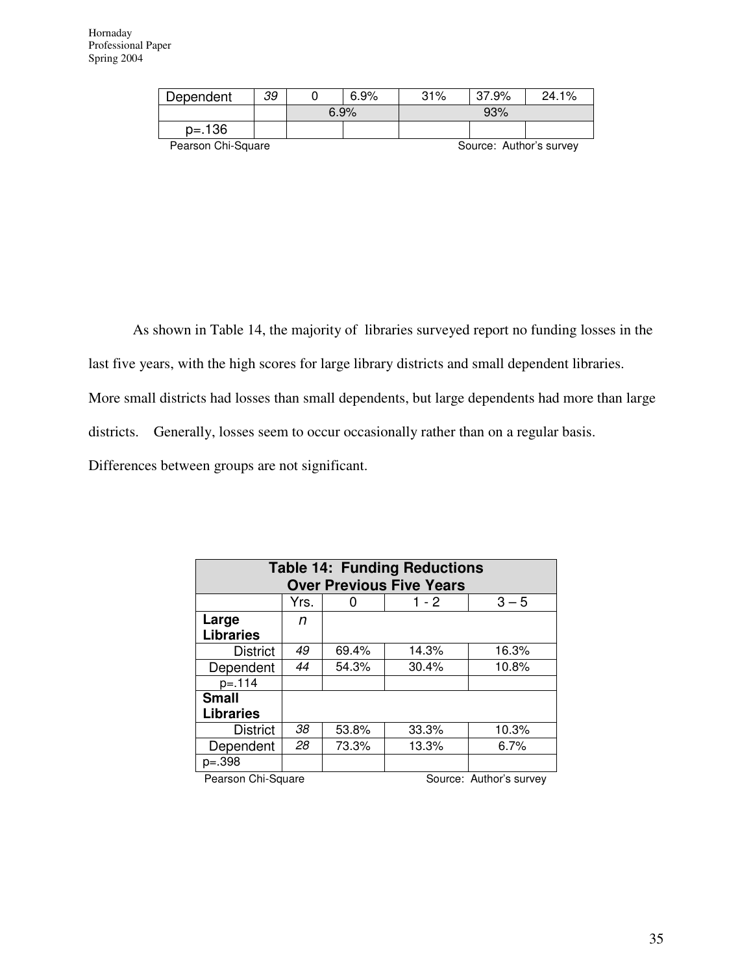| Dependent          | 39                      |      | $6.9\%$ | 31% | 37.9% | 24.1% |
|--------------------|-------------------------|------|---------|-----|-------|-------|
|                    |                         | 6.9% |         | 93% |       |       |
| $p = 136$          |                         |      |         |     |       |       |
| Pearson Chi-Square | Source: Author's survey |      |         |     |       |       |

As shown in Table 14, the majority of libraries surveyed report no funding losses in the

last five years, with the high scores for large library districts and small dependent libraries.

More small districts had losses than small dependents, but large dependents had more than large

districts. Generally, losses seem to occur occasionally rather than on a regular basis.

Differences between groups are not significant.

| <b>Table 14: Funding Reductions</b> |      |       |       |         |  |  |  |  |
|-------------------------------------|------|-------|-------|---------|--|--|--|--|
| <b>Over Previous Five Years</b>     |      |       |       |         |  |  |  |  |
|                                     | Yrs. |       | 1 - 2 | $3 - 5$ |  |  |  |  |
| Large                               | n    |       |       |         |  |  |  |  |
| <b>Libraries</b>                    |      |       |       |         |  |  |  |  |
| <b>District</b>                     | 49   | 69.4% | 14.3% | 16.3%   |  |  |  |  |
| Dependent                           | 44   | 54.3% | 30.4% | 10.8%   |  |  |  |  |
| $p = 114$                           |      |       |       |         |  |  |  |  |
| <b>Small</b>                        |      |       |       |         |  |  |  |  |
| <b>Libraries</b>                    |      |       |       |         |  |  |  |  |
| <b>District</b>                     | 38   | 53.8% | 33.3% | 10.3%   |  |  |  |  |
| Dependent                           | 28   | 73.3% | 13.3% | 6.7%    |  |  |  |  |
| $p=.398$                            |      |       |       |         |  |  |  |  |
|                                     |      |       |       |         |  |  |  |  |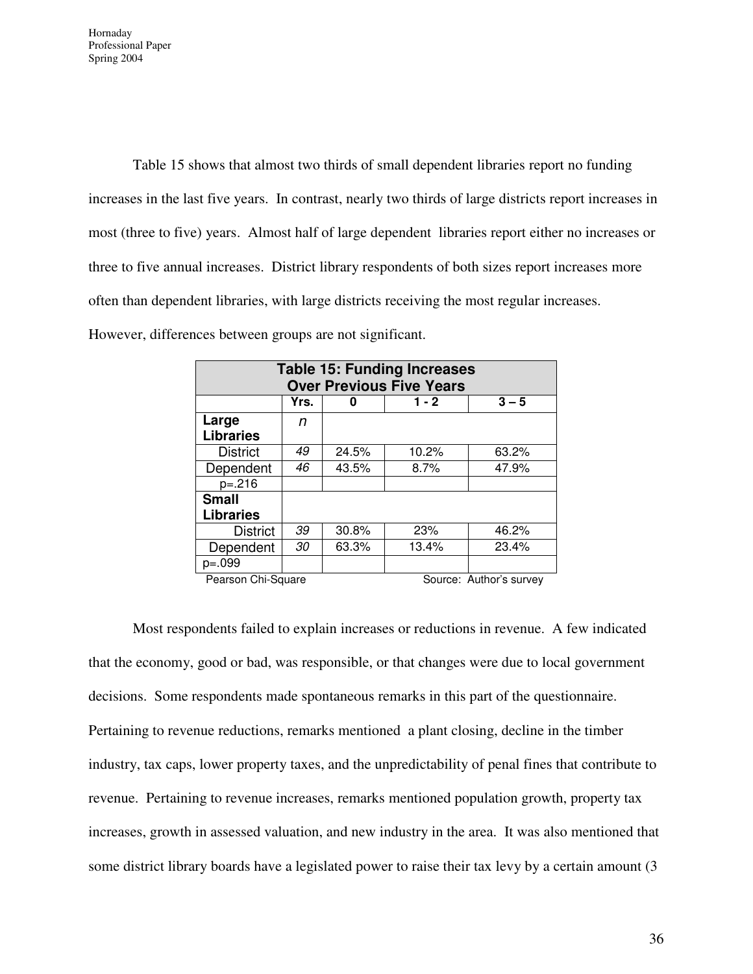Table 15 shows that almost two thirds of small dependent libraries report no funding increases in the last five years. In contrast, nearly two thirds of large districts report increases in most (three to five) years. Almost half of large dependent libraries report either no increases or three to five annual increases. District library respondents of both sizes report increases more often than dependent libraries, with large districts receiving the most regular increases. However, differences between groups are not significant.

| <b>Table 15: Funding Increases</b><br><b>Over Previous Five Years</b> |      |                         |       |       |  |  |  |  |
|-----------------------------------------------------------------------|------|-------------------------|-------|-------|--|--|--|--|
|                                                                       | Yrs. | $3 - 5$<br>$1 - 2$<br>O |       |       |  |  |  |  |
| Large                                                                 | n    |                         |       |       |  |  |  |  |
| <b>Libraries</b>                                                      |      |                         |       |       |  |  |  |  |
| <b>District</b>                                                       | 49   | 24.5%                   | 10.2% | 63.2% |  |  |  |  |
| Dependent                                                             | 46   | 43.5%                   | 8.7%  | 47.9% |  |  |  |  |
| $p=.216$                                                              |      |                         |       |       |  |  |  |  |
| <b>Small</b>                                                          |      |                         |       |       |  |  |  |  |
| <b>Libraries</b>                                                      |      |                         |       |       |  |  |  |  |
| <b>District</b>                                                       | 39   | 30.8%                   | 23%   | 46.2% |  |  |  |  |
| Dependent                                                             | 30   | 63.3%                   | 13.4% | 23.4% |  |  |  |  |
| $p=.099$                                                              |      |                         |       |       |  |  |  |  |

Pearson Chi-Square Source: Author's survey

Most respondents failed to explain increases or reductions in revenue. A few indicated that the economy, good or bad, was responsible, or that changes were due to local government decisions. Some respondents made spontaneous remarks in this part of the questionnaire. Pertaining to revenue reductions, remarks mentioned a plant closing, decline in the timber industry, tax caps, lower property taxes, and the unpredictability of penal fines that contribute to revenue. Pertaining to revenue increases, remarks mentioned population growth, property tax increases, growth in assessed valuation, and new industry in the area. It was also mentioned that some district library boards have a legislated power to raise their tax levy by a certain amount (3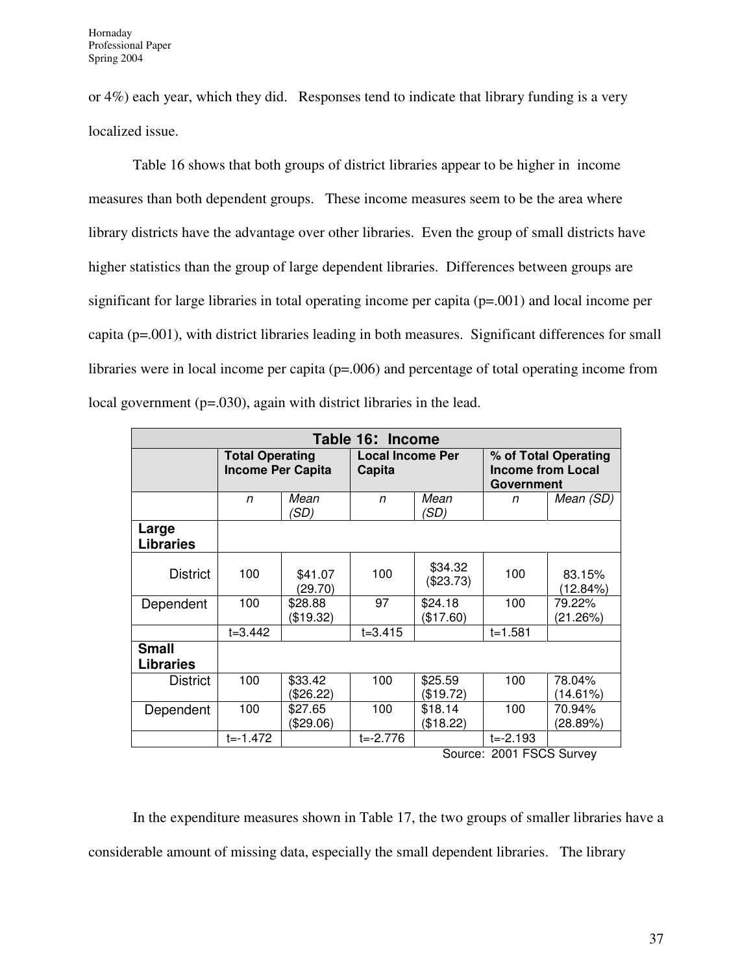or 4%) each year, which they did. Responses tend to indicate that library funding is a very localized issue.

Table 16 shows that both groups of district libraries appear to be higher in income measures than both dependent groups. These income measures seem to be the area where library districts have the advantage over other libraries. Even the group of small districts have higher statistics than the group of large dependent libraries. Differences between groups are significant for large libraries in total operating income per capita (p=.001) and local income per capita (p=.001), with district libraries leading in both measures. Significant differences for small libraries were in local income per capita (p=.006) and percentage of total operating income from local government (p=.030), again with district libraries in the lead.

| Table 16: Income                 |                                                    |                      |                                   |                      |                                                                |                    |  |
|----------------------------------|----------------------------------------------------|----------------------|-----------------------------------|----------------------|----------------------------------------------------------------|--------------------|--|
|                                  | <b>Total Operating</b><br><b>Income Per Capita</b> |                      | <b>Local Income Per</b><br>Capita |                      | % of Total Operating<br><b>Income from Local</b><br>Government |                    |  |
|                                  | n                                                  | Mean<br>'SD)         | n                                 | Mean<br>'SD)         | n                                                              | Mean (SD)          |  |
| Large<br><b>Libraries</b>        |                                                    |                      |                                   |                      |                                                                |                    |  |
| <b>District</b>                  | 100                                                | \$41.07<br>(29.70)   | 100                               | \$34.32<br>(\$23.73) | 100                                                            | 83.15%<br>(12.84%) |  |
| Dependent                        | 100                                                | \$28.88<br>(\$19.32) | 97                                | \$24.18<br>(\$17.60) | 100                                                            | 79.22%<br>(21.26%) |  |
|                                  | t=3.442                                            |                      | $t = 3.415$                       |                      | $t = 1.581$                                                    |                    |  |
| <b>Small</b><br><b>Libraries</b> |                                                    |                      |                                   |                      |                                                                |                    |  |
| <b>District</b>                  | 100                                                | \$33.42<br>(\$26.22) | 100                               | \$25.59<br>(\$19.72) | 100                                                            | 78.04%<br>(14.61%) |  |
| Dependent                        | 100                                                | \$27.65<br>(\$29.06) | 100                               | \$18.14<br>(\$18.22) | 100                                                            | 70.94%<br>(28.89%) |  |
|                                  | $t = -1.472$                                       |                      | $t = -2.776$                      |                      | $t = -2.193$                                                   |                    |  |

Source: 2001 FSCS Survey

In the expenditure measures shown in Table 17, the two groups of smaller libraries have a considerable amount of missing data, especially the small dependent libraries. The library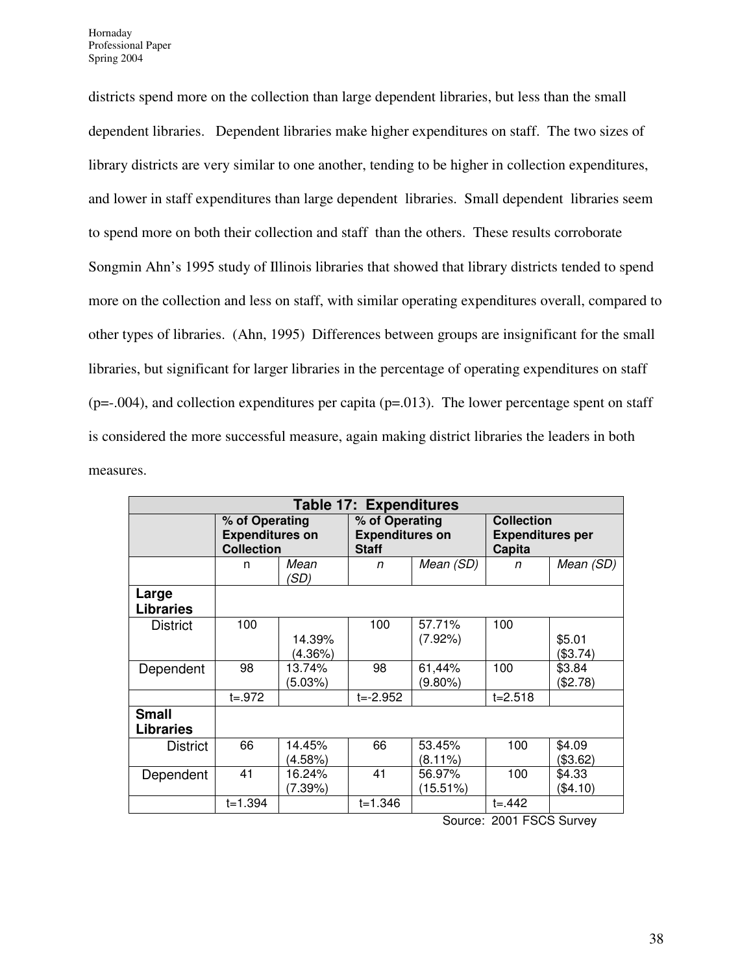districts spend more on the collection than large dependent libraries, but less than the small dependent libraries. Dependent libraries make higher expenditures on staff. The two sizes of library districts are very similar to one another, tending to be higher in collection expenditures, and lower in staff expenditures than large dependent libraries. Small dependent libraries seem to spend more on both their collection and staff than the others. These results corroborate Songmin Ahn's 1995 study of Illinois libraries that showed that library districts tended to spend more on the collection and less on staff, with similar operating expenditures overall, compared to other types of libraries. (Ahn, 1995) Differences between groups are insignificant for the small libraries, but significant for larger libraries in the percentage of operating expenditures on staff  $(p=-.004)$ , and collection expenditures per capita  $(p=.013)$ . The lower percentage spent on staff is considered the more successful measure, again making district libraries the leaders in both measures.

| <b>Table 17: Expenditures</b>    |                                                               |                   |                                                          |                       |                                                        |                      |
|----------------------------------|---------------------------------------------------------------|-------------------|----------------------------------------------------------|-----------------------|--------------------------------------------------------|----------------------|
|                                  | % of Operating<br><b>Expenditures on</b><br><b>Collection</b> |                   | % of Operating<br><b>Expenditures on</b><br><b>Staff</b> |                       | <b>Collection</b><br><b>Expenditures per</b><br>Capita |                      |
|                                  | n                                                             | Mean<br>(SD)      | n                                                        | Mean (SD)             | n                                                      | Mean (SD)            |
| Large<br><b>Libraries</b>        |                                                               |                   |                                                          |                       |                                                        |                      |
| District                         | 100                                                           | 14.39%<br>(4.36%) | 100                                                      | 57.71%<br>(7.92%)     | 100                                                    | \$5.01<br>(\$3.74)   |
| Dependent                        | 98                                                            | 13.74%<br>(5.03%) | 98                                                       | 61,44%<br>(9.80%)     | 100                                                    | \$3.84<br>(\$2.78)   |
|                                  | $t = .972$                                                    |                   | $t = -2.952$                                             |                       | $t = 2.518$                                            |                      |
| <b>Small</b><br><b>Libraries</b> |                                                               |                   |                                                          |                       |                                                        |                      |
| <b>District</b>                  | 66                                                            | 14.45%<br>(4.58%) | 66                                                       | 53.45%<br>$(8.11\%)$  | 100                                                    | \$4.09<br>(\$3.62)   |
| Dependent                        | 41                                                            | 16.24%<br>(7.39%) | 41                                                       | 56.97%<br>$(15.51\%)$ | 100                                                    | \$4.33<br>$(\$4.10)$ |
|                                  | $t = 1.394$                                                   |                   | t=1.346                                                  |                       | $t = 442$                                              |                      |

Source: 2001 FSCS Survey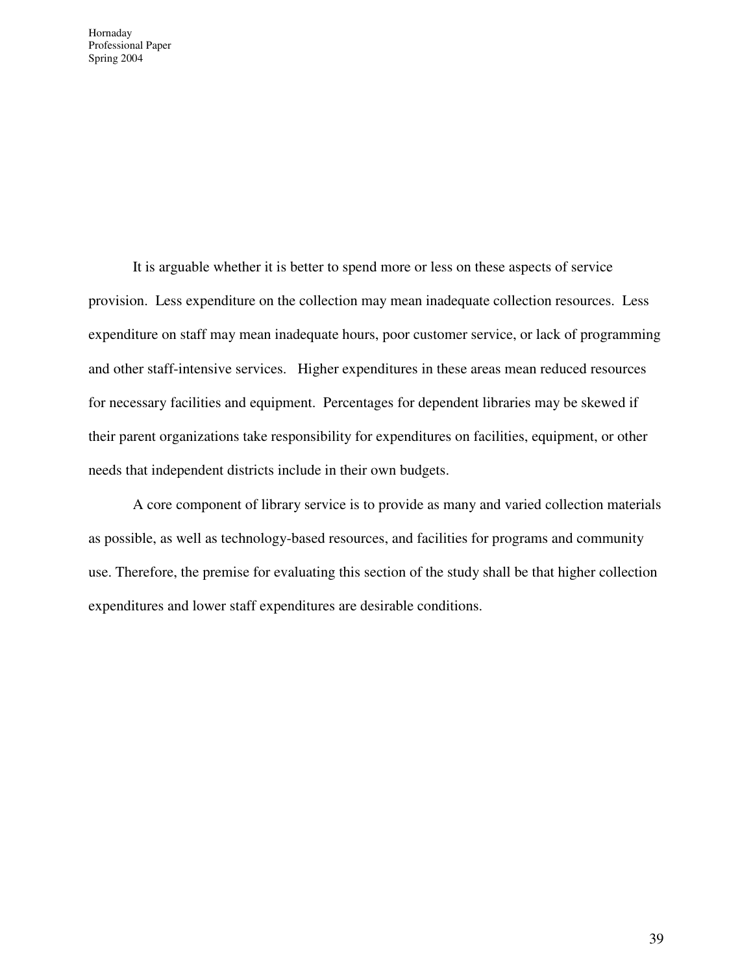It is arguable whether it is better to spend more or less on these aspects of service provision. Less expenditure on the collection may mean inadequate collection resources. Less expenditure on staff may mean inadequate hours, poor customer service, or lack of programming and other staff-intensive services. Higher expenditures in these areas mean reduced resources for necessary facilities and equipment. Percentages for dependent libraries may be skewed if their parent organizations take responsibility for expenditures on facilities, equipment, or other needs that independent districts include in their own budgets.

A core component of library service is to provide as many and varied collection materials as possible, as well as technology-based resources, and facilities for programs and community use. Therefore, the premise for evaluating this section of the study shall be that higher collection expenditures and lower staff expenditures are desirable conditions.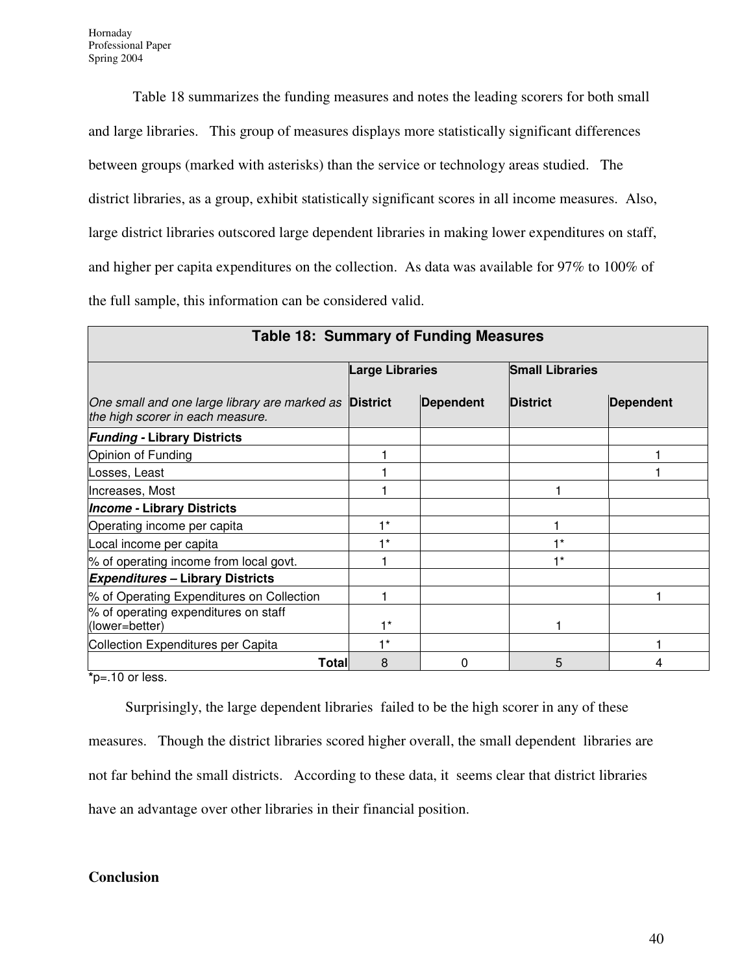П

Table 18 summarizes the funding measures and notes the leading scorers for both small and large libraries. This group of measures displays more statistically significant differences between groups (marked with asterisks) than the service or technology areas studied. The district libraries, as a group, exhibit statistically significant scores in all income measures. Also, large district libraries outscored large dependent libraries in making lower expenditures on staff, and higher per capita expenditures on the collection. As data was available for 97% to 100% of the full sample, this information can be considered valid.

| Table 18: Summary of Funding Measures                                                             |                        |                  |                        |                  |  |  |  |
|---------------------------------------------------------------------------------------------------|------------------------|------------------|------------------------|------------------|--|--|--|
|                                                                                                   | <b>Large Libraries</b> |                  | <b>Small Libraries</b> |                  |  |  |  |
| One small and one large library are marked as <b>District</b><br>the high scorer in each measure. |                        | <b>Dependent</b> | <b>District</b>        | <b>Dependent</b> |  |  |  |
| <b>Funding - Library Districts</b>                                                                |                        |                  |                        |                  |  |  |  |
| Opinion of Funding                                                                                |                        |                  |                        |                  |  |  |  |
| Losses, Least                                                                                     |                        |                  |                        |                  |  |  |  |
| Increases, Most                                                                                   |                        |                  |                        |                  |  |  |  |
| <b>Income - Library Districts</b>                                                                 |                        |                  |                        |                  |  |  |  |
| Operating income per capita                                                                       | $1*$                   |                  |                        |                  |  |  |  |
| Local income per capita                                                                           | $1*$                   |                  | $+*$                   |                  |  |  |  |
| % of operating income from local govt.                                                            |                        |                  | $+*$                   |                  |  |  |  |
| <b>Expenditures - Library Districts</b>                                                           |                        |                  |                        |                  |  |  |  |
| % of Operating Expenditures on Collection                                                         |                        |                  |                        |                  |  |  |  |
| % of operating expenditures on staff<br>(lower=better)                                            | $1*$                   |                  |                        |                  |  |  |  |
| Collection Expenditures per Capita                                                                | $1*$                   |                  |                        |                  |  |  |  |
| Total∣                                                                                            | 8                      | ი                | 5                      |                  |  |  |  |

**\***p=.10 or less.

Surprisingly, the large dependent libraries failed to be the high scorer in any of these

measures. Though the district libraries scored higher overall, the small dependent libraries are

not far behind the small districts. According to these data, it seems clear that district libraries

have an advantage over other libraries in their financial position.

#### **Conclusion**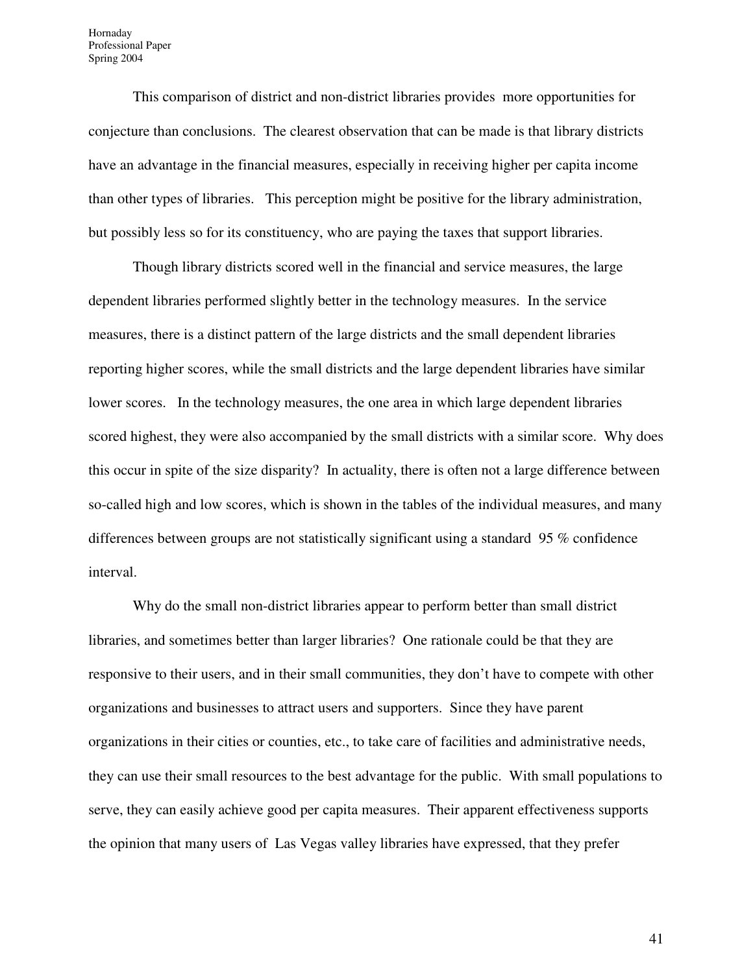This comparison of district and non-district libraries provides more opportunities for conjecture than conclusions. The clearest observation that can be made is that library districts have an advantage in the financial measures, especially in receiving higher per capita income than other types of libraries. This perception might be positive for the library administration, but possibly less so for its constituency, who are paying the taxes that support libraries.

Though library districts scored well in the financial and service measures, the large dependent libraries performed slightly better in the technology measures. In the service measures, there is a distinct pattern of the large districts and the small dependent libraries reporting higher scores, while the small districts and the large dependent libraries have similar lower scores. In the technology measures, the one area in which large dependent libraries scored highest, they were also accompanied by the small districts with a similar score. Why does this occur in spite of the size disparity? In actuality, there is often not a large difference between so-called high and low scores, which is shown in the tables of the individual measures, and many differences between groups are not statistically significant using a standard 95 % confidence interval.

Why do the small non-district libraries appear to perform better than small district libraries, and sometimes better than larger libraries? One rationale could be that they are responsive to their users, and in their small communities, they don't have to compete with other organizations and businesses to attract users and supporters. Since they have parent organizations in their cities or counties, etc., to take care of facilities and administrative needs, they can use their small resources to the best advantage for the public. With small populations to serve, they can easily achieve good per capita measures. Their apparent effectiveness supports the opinion that many users of Las Vegas valley libraries have expressed, that they prefer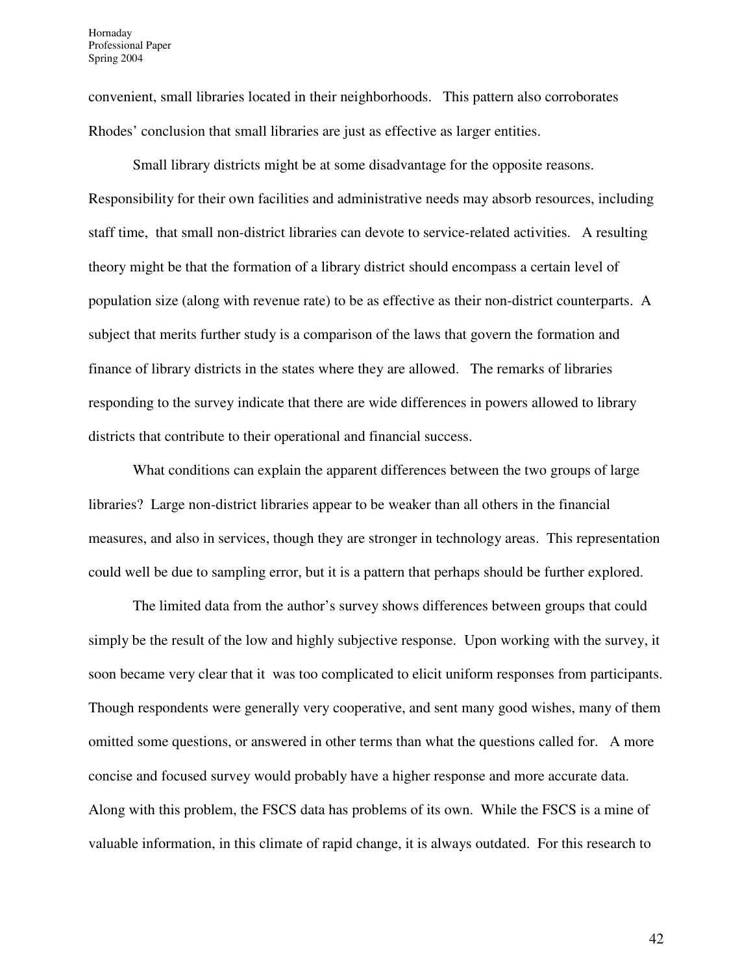convenient, small libraries located in their neighborhoods. This pattern also corroborates Rhodes' conclusion that small libraries are just as effective as larger entities.

Small library districts might be at some disadvantage for the opposite reasons. Responsibility for their own facilities and administrative needs may absorb resources, including staff time, that small non-district libraries can devote to service-related activities. A resulting theory might be that the formation of a library district should encompass a certain level of population size (along with revenue rate) to be as effective as their non-district counterparts. A subject that merits further study is a comparison of the laws that govern the formation and finance of library districts in the states where they are allowed. The remarks of libraries responding to the survey indicate that there are wide differences in powers allowed to library districts that contribute to their operational and financial success.

What conditions can explain the apparent differences between the two groups of large libraries? Large non-district libraries appear to be weaker than all others in the financial measures, and also in services, though they are stronger in technology areas. This representation could well be due to sampling error, but it is a pattern that perhaps should be further explored.

The limited data from the author's survey shows differences between groups that could simply be the result of the low and highly subjective response. Upon working with the survey, it soon became very clear that it was too complicated to elicit uniform responses from participants. Though respondents were generally very cooperative, and sent many good wishes, many of them omitted some questions, or answered in other terms than what the questions called for. A more concise and focused survey would probably have a higher response and more accurate data. Along with this problem, the FSCS data has problems of its own. While the FSCS is a mine of valuable information, in this climate of rapid change, it is always outdated. For this research to